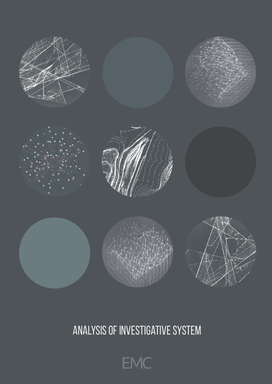

# Analysis of Investigative System

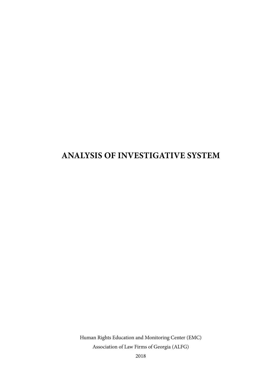### **ANALYSIS of Investigative system**

Human Rights Education and Monitoring Center (EMC) Association of Law Firms of Georgia (ALFG)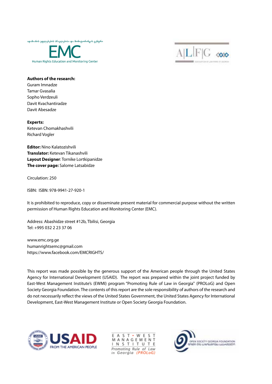

 $FG \cos$ 

#### **Authors of the research:**

Guram Imnadze Tamar Gvasalia Sopho Verdzeuli Davit Kvachantiradze Davit Abesadze

**Experts:** Ketevan Chomakhashvili Richard Vogler

**Editor:** Nino Kalatozishvili **Translator:** Ketevan Tikanashvili **Layout Designer**: Tornike Lortkipanidze **The cover page:** Salome Latsabidze

Circulation: 250

ISBN: ISBN: 978-9941-27-920-1

It is prohibited to reproduce, copy or disseminate present material for commercial purpose without the written permission of Human Rights Education and Monitoring Center (EMC).

Address: Abashidze street #12b, Tbilisi, Georgia Tel: +995 032 2 23 37 06

www.emc.org.ge humanrightsemc@gmail.com https://www.facebook.com/EMCRIGHTS/

This report was made possible by the generous support of the American people through the United States Agency for International Development (USAID). The report was prepared within the joint project funded by East-West Management Institute's (EWMI) program "Promoting Rule of Law in Georgia" (PROLoG) and Open Society Georgia Foundation. The contents of this report are the sole responsibility of authors of the research and do not necessarily reflect the views of the United States Government, the United States Agency for International Development, East-West Management Institute or Open Society Georgia Foundation.



 $\varsigma$  $T$  $\cdot$  W F F A ς MANAGEMENT INSTITUT E Promoting Rule of Law in Georgia (P 801 oG)

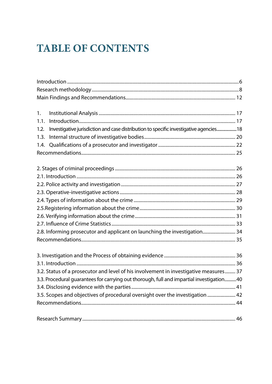## **TABLE OF CONTENTS**

| 1.                                                                                             |  |
|------------------------------------------------------------------------------------------------|--|
| 1.1.                                                                                           |  |
| Investigative jurisdiction and case distribution to specific investigative agencies 18<br>1.2. |  |
| 1.3.                                                                                           |  |
| 1.4.                                                                                           |  |
|                                                                                                |  |
|                                                                                                |  |
|                                                                                                |  |
|                                                                                                |  |
|                                                                                                |  |
|                                                                                                |  |
|                                                                                                |  |
|                                                                                                |  |
|                                                                                                |  |
|                                                                                                |  |
| 2.8. Informing prosecutor and applicant on launching the investigation 34                      |  |
|                                                                                                |  |
|                                                                                                |  |
|                                                                                                |  |
|                                                                                                |  |
| 3.2. Status of a prosecutor and level of his involvement in investigative measures 37          |  |
| 3.3. Procedural quarantees for carrying out thorough, full and impartial investigation40       |  |
|                                                                                                |  |
| 3.5. Scopes and objectives of procedural oversight over the investigation  42                  |  |
|                                                                                                |  |
|                                                                                                |  |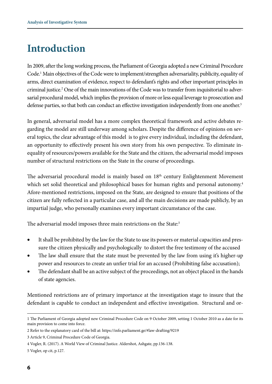## **Introduction**

In 2009, after the long working process, the Parliament of Georgia adopted a new Criminal Procedure Code.1 Main objectives of the Code were to implement/strengthen adversariality, publicity, equality of arms, direct examination of evidence, respect to defendant's rights and other important principles in criminal justice.2 One of the main innovations of the Code was to transfer from inquisitorial to adversarial procedural model, which implies the provision of more or less equal leverage to prosecution and defense parties, so that both can conduct an effective investigation independently from one another.<sup>3</sup>

In general, adversarial model has a more complex theoretical framework and active debates regarding the model are still underway among scholars. Despite the difference of opinions on several topics, the clear advantage of this model is to give every individual, including the defendant, an opportunity to effectively present his own story from his own perspective. To eliminate inequality of resources/powers available for the State and the citizen, the adversarial model imposes number of structural restrictions on the State in the course of proceedings.

The adversarial procedural model is mainly based on  $18<sup>th</sup>$  century Enlightenment Movement which set solid theoretical and philosophical bases for human rights and personal autonomy.<sup>4</sup> Afore-mentioned restrictions, imposed on the State, are designed to ensure that positions of the citizen are fully reflected in a particular case, and all the main decisions are made publicly, by an impartial judge, who personally examines every important circumstance of the case.

The adversarial model imposes three main restrictions on the State:<sup>5</sup>

- It shall be prohibited by the law for the State to use its powers or material capacities and pressure the citizen physically and psychologically to distort the free testimony of the accused
- The law shall ensure that the state must be prevented by the law from using it's higher-up power and resources to create an unfier trial for an accused (Prohibiting false accusation);
- The defendant shall be an active subject of the proceedings, not an object placed in the hands of state agencies.

Mentioned restrictions are of primary importance at the investigation stage to insure that the defendant is capable to conduct an independent and effective investigation. Structural and or-

<sup>1</sup> The Parliament of Georgia adopted new Criminal Procedure Code on 9 October 2009, setting 1 October 2010 as a date for its main provision to come into force.

<sup>2</sup> Refer to the explanatory card of the bill at: https://info.parliament.ge/#law-drafting/9219

<sup>3</sup> Article 9, Criminal Procedure Code of Georgia.

<sup>4</sup> Vogler, R. (2017). A World View of Criminal Justice. Aldershot, Ashgate, pp.136-138.

<sup>5</sup> Vogler, op cit, p.127.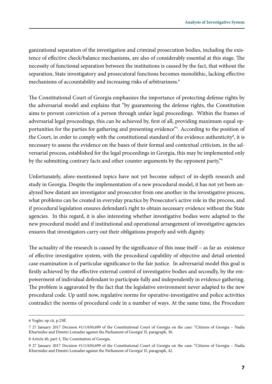ganizational separation of the investigation and criminal prosecution bodies, including the existence of effective check/balance mechanisms, are also of considerably essential at this stage. The necessity of functional separation between the institutions is caused by the fact, that without the separation, State investigatory and prosecutoral functions becomes monolithic, lacking effective mechanisms of accountability and increasing risks of arbitrariness.<sup>6</sup>

The Constitutional Court of Georgia emphasizes the importance of protecting defense rights by the adversarial model and explains that "by guaranteeing the defense rights, the Constitution aims to prevent conviction of a person through unfair legal proceedings. Within the frames of adversarial legal proceedings, this can be achieved by, first of all, providing maximum equal opportunities for the parties for gathering and presenting evidence"7 . According to the position of the Court, in order to comply with the constitutional standard of the evidence authenticity $^{\rm 8}$ , it is necessary to assess the evidence on the bases of their formal and contextual criticism, in the adversarial process, established for the legal proceedings in Georgia, this may be implemented only by the submitting contrary facts and other counter arguments by the opponent party,"<sup>9</sup>

Unfortunately, afore-mentioned topics have not yet become subject of in-depth research and study in Georgia. Despite the implementation of a new procedural model, it has not yet been analyzed how distant are investigator and prosecutor from one another in the investigative process, what problems can be created in everyday practice by Prosecutor's active role in the process, and if procedural legislation ensures defendant's right to obtain necessary evidence without the State agencies. In this regard, it is also interesting whether investigative bodies were adapted to the new procedural model and if institutional and operational arrangement of investigative agencies ensures that investigators carry out their obligations properly and with dignity.

The actuality of the research is caused by the significance of this issue itself – as far as existence of effective investigative system, with the procedural capability of objective and detail oriented case examination is of particular significance to the fair justice. In adversarial model this goal is firstly achieved by the effective external control of investigative bodies and secondly, by the empowerment of individual defendant to participate fully and independently in evidence gathering. The problem is aggravated by the fact that the legislative environment never adapted to the new procedural code. Up until now, regulative norms for operative-investigative and police activities contradict the norms of procedural code in a number of ways. At the same time, the Procedure

<sup>6</sup> Vogler, op cit, p.23ff.

<sup>7 27</sup> January 2017 Decision #1/1/650,699 of the Constitutional Court of Georgia on the case: "Citizens of Georgia – Nadia Khurtsidze and Dimitri Lomadze against the Parliament of Georgia' II, paragraph, 30.

<sup>8</sup> Article 40, part 3, The Constitution of Georgia.

<sup>9 27</sup> January 2017 Decision #1/1/650,699 of the Constitutional Court of Georgia on the case: "Citizens of Georgia – Nadia Khurtsidze and Dimitri Lomadze against the Parliament of Georgia' II, paragraph, 42.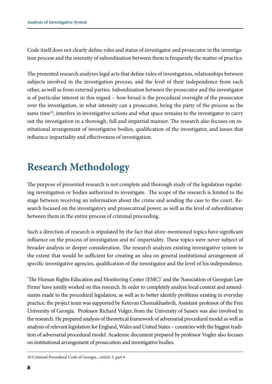Code itself does not clearly define roles and status of investigator and prosecutor in the investigation process and the intensity of subordination between them is frequently the matter of practice.

The presented research analyzes legal acts that define rules of investigation, relationships between subjects involved in the investigation process, and the level of their independence from each other, as well as from external parties. Subordination between the prosecutor and the investigator is of particular interest in this regard – how broad is the procedural oversight of the prosecutor over the investigation, in what intensity can a prosecutor, being the party of the process as the same time<sup>10</sup>, interfere in investigative actions and what space remains to the investigator to carry out the investigation in a thorough, full and impartial manner. The research also focuses on institutional arrangement of investigative bodies, qualification of the investigator, and issues that influence impartiality and effectiveness of investigation.

## **Research Methodology**

The purpose of presented research is not complete and thorough study of the legislation regulating investigation or bodies authorized to investigate. The scope of the research is limited to the stage between receiving an information about the crime and sending the case to the court. Research focused on the investigatory and prosecutroal power, as well as the level of subordination between them in the entire process of criminal proceeding.

Such a direction of research is stipulated by the fact that afore-mentioned topics have significant influence on the process of investigation and its' impartiality. These topics were never subject of broader analysis or deeper consideration. The research analyzes existing investigative system to the extent that would be sufficient for creating an idea on general institutional arrangement of specific investigative agencies, qualification of the investigator and the level of his independence.

'The Human Rights Education and Monitoring Center (EMC)' and the 'Association of Georgian Law Firms' have jointly worked on this research. In order to completely analyze local context and amendments made to the procedural legislation, as well as to better identify problems existing in everyday practice, the project team was supported by Ketevan Chomakhashvili, Assistant-professor of the Free University of Georgia. Professor Richard Volger, from the University of Sussex was also involved in the research. He prepared analysis of theoretical framework of adversarial procedural model as well as analysis of relevant legislation for England, Wales and United States – countries with the biggest tradition of adversarial procedural model. Academic document prepared by professor Vogler also focuses on institutional arrangement of prosecution and investigative bodies.

10 Criminal Procedural Code of Georgia, , article 3, part 6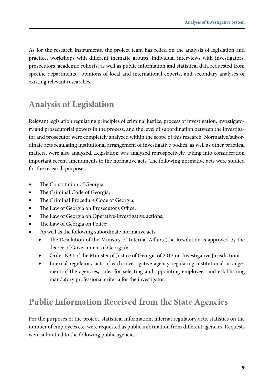As for the research instruments, the project team has relied on the analysis of legislation and practice, workshops with different thematic groups, individual interviews with investigators, prosecutors, academic cohorts, as well as public information and statistical data requested from specific departments, opinions of local and international experts, and secondary analyses of existing relevant researches.

### **Analysis of Legislation**

Relevant legislation regulating principles of criminal justice, process of investigation, investigatory and prosecutorial powers in the process, and the level of subordination between the investigator and prosecutor were completely analyzed within the scope of this research. Normative/subordinate acts regulating institutional arrangement of investigative bodies, as well as other practical matters, were also analyzed. Legislation was analyzed retrospectively, taking into consideration important recent amendments to the normative acts. The following normative acts were studied for the research purposes:

- The Constitution of Georgia;
- The Criminal Code of Georgia;
- The Criminal Procedure Code of Georgia;
- The Law of Georgia on Prosecutor's Office;
- The Law of Georgia on Operative-investigative actions;
- The Law of Georgia on Police;
- As well as the following subordinate normative acts:
	- The Resolution of the Ministry of Internal Affairs (the Resolution is approved by the decree of Government of Georgia);
	- Order N34 of the Minister of Justice of Georgia of 2013 on Investigative Jurisdiction;
	- Internal regulatory acts of each investigative agency regulating institutional arrangement of the agencies, rules for selecting and appointing employees and establishing mandatory professional criteria for the investigator.

### **Public Information Received from the State Agencies**

For the purposes of the project, statistical information, internal regulatory acts, statistics on the number of employees etc. were requested as public information from different agencies. Requests were submitted to the following public agencies: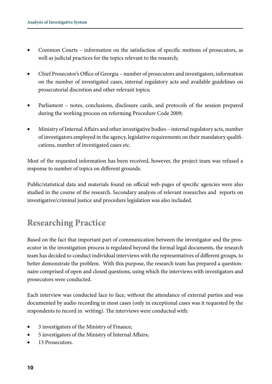- Common Courts information on the satisfaction of specific motions of prosecutors, as well as judicial practices for the topics relevant to the research;
- Chief Prosecutor's Office of Georgia number of prosecutors and investigators, information on the number of investigated cases, internal regulatory acts and available guidelines on prosecutorial discretion and other relevant topics;
- Parliament notes, conclusions, disclosure cards, and protocols of the session prepared during the working process on reforming Procedure Code 2009;
- Ministry of Internal Affairs and other investigative bodies internal regulatory acts, number of investigators employed in the agency, legislative requirements on their mandatory qualifications, number of investigated cases etc.

Most of the requested information has been received, however, the project team was refused a response to number of topics on different grounds.

Public/statistical data and materials found on official web-pages of specific agencies were also studied in the course of the research. Secondary analysis of relevant researches and reports on investigative/criminal justice and procedure legislation was also included.

#### **Researching Practice**

Based on the fact that important part of communication between the investigator and the prosecutor in the investigation process is regulated beyond the formal legal documents, the research team has decided to conduct individual interviews with the representatives of different groups, to better demonstrate the problem. With this purpose, the research team has prepared a questionnaire comprised of open and closed questions, using which the interviews with investigators and prosecutors were conducted.

Each interview was conducted face to face, without the attendance of external parties and was documented by audio recording in most cases (only in exceptional cases was it requested by the respondents to record in writing). The interviews were conducted with:

- 3 investigators of the Ministry of Finance;
- 5 investigators of the Ministry of Internal Affairs;
- 13 Prosecutors.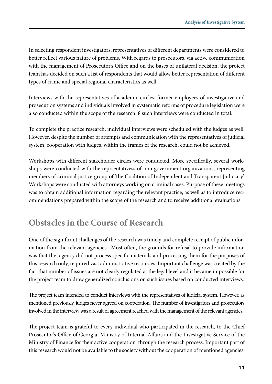In selecting respondent investigators, representatives of different departments were considered to better reflect various nature of problems. With regards to prosecutors, via active communication with the management of Prosecutor's Office and on the bases of unilateral decision, the project team has decided on such a list of respondents that would allow better representation of different types of crime and special regional characteristics as well.

Interviews with the representatives of academic circles, former employees of investigative and prosecution systems and individuals involved in systematic reforms of procedure legislation were also conducted within the scope of the research. 8 such interviews were conducted in total.

To complete the practice research, individual interviews were scheduled with the judges as well. However, despite the number of attempts and communication with the representatives of judicial system, cooperation with judges, within the frames of the research, could not be achieved.

Workshops with different stakeholder circles were conducted. More specifically, several workshops were conducted with the reprsentativess of non government organizations, representing members of criminal justice group of 'the Coalition of Independent and Transparent Judiciary'. Workshops were conducted with attorneys working on criminal cases. Purpose of these meetings was to obtain additional information regarding the relevant practice, as well as to introduce recommendations prepared within the scope of the research and to receive additional evaluations.

#### **Obstacles in the Course of Research**

One of the significant challenges of the research was timely and complete receipt of public information from the relevant agencies. Most often, the grounds for refusal to provide information was that the agency did not process specific materials and processing them for the purposes of this research only, required vast administrative resources. Important challenge was created by the fact that number of issues are not clearly regulated at the legal level and it became impossible for the project team to draw generalized conclusions on such issues based on conducted interviews.

The project team intended to conduct interviews with the representatives of judicial system. However, as mentioned previously, judges never agreed on cooperation. The number of investigators and prosecutors involved in the interview was a result of agreement reached with the management of the relevant agencies.

The project team is grateful to every individual who participated in the research, to the Chief Prosecutor's Office of Georgia, Ministry of Internal Affairs and the Investigative Service of the Ministry of Finance for their active cooperation through the research process. Important part of this research would not be available to the society without the cooperation of mentioned agencies.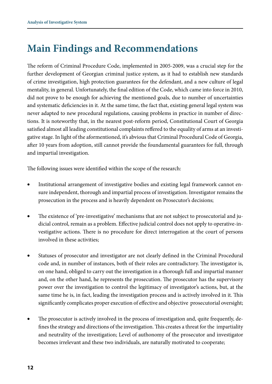## **Main Findings and Recommendations**

The reform of Criminal Procedure Code, implemented in 2005-2009, was a crucial step for the further development of Georgian criminal justice system, as it had to establish new standards of crime investigation, high protection guarantees for the defendant, and a new culture of legal mentality, in general. Unfortunately, the final edition of the Code, which came into force in 2010, did not prove to be enough for achieving the mentioned goals, due to number of uncertainties and systematic deficiencies in it. At the same time, the fact that, existing general legal system was never adapted to new procedural regulations, causing problems in practice in number of directions. It is noteworthy that, in the nearest post-reform period, Constitutional Court of Georgia satisfied almost all leading constitutional complaints reffered to the equality of arms at an investigative stage. In light of the aformentioned, it's abvious that Criminal Procedural Code of Georgia, after 10 years from adoption, still cannot provide the foundamental guarantees for full, through and impartial investigation.

The following issues were identified within the scope of the research:

- Institutional arrangement of investigative bodies and existing legal framework cannot ensure independent, thorough and impartial process of investigation. Investigator remains the prosecution in the process and is heavily dependent on Prosecutor's decisions;
- The existence of 'pre-investigative' mechanisms that are not subject to prosecutorial and judicial control, remain as a problem. Effective judicial control does not apply to operative-investigative actions. There is no procedure for direct interrogation at the court of persons involved in these activities;
- Statuses of prosecutor and investigator are not clearly defined in the Criminal Procedural code and, in number of instances, both of their roles are contradictory. The investigator is, on one hand, obliged to carry out the investigation in a thorough full and impartial manner and, on the other hand, he represents the prosecution. The prosecutor has the supervisory power over the investigation to control the legitimacy of investigator's actions, but, at the same time he is, in fact, leading the investigation process and is actively involved in it. This significantly complicates proper execution of effective and objective prosecutorial oversight;
- The prosecutor is actively involved in the process of investigation and, quite frequently, defines the strategy and directions of the investigation. This creates a threat for the impartiality and neutrality of the investigation; Level of authonomy of the prosecutor and investigator becomes irrelevant and these two individuals, are naturally motivated to cooperate;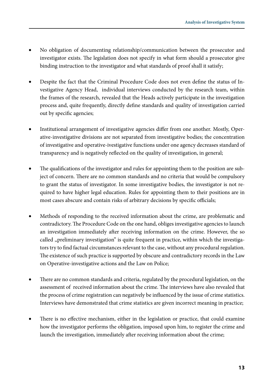- No obligation of documenting relationship/communication between the prosecutor and investigator exists. The legislation does not specify in what form should a prosecutor give binding instruction to the investigator and what standards of proof shall it satisfy;
- Despite the fact that the Criminal Procedure Code does not even define the status of Investigative Agency Head, individual interviews conducted by the research team, within the frames of the research, revealed that the Heads actively participate in the investigation process and, quite frequently, directly define standards and quality of investigation carried out by specific agencies;
- Institutional arrangement of investigative agencies differ from one another. Mostly, Operative-investigative divisions are not separated from investigative bodies; the concentration of investigative and operative-ivestigative functions under one agency decreases standard of transparency and is negatively reflected on the quality of investigation, in general;
- The qualifications of the investigator and rules for appointing them to the position are subject of concern. There are no common standards and no criteria that would be compulsory to grant the status of investigator. In some investigative bodies, the investigator is not required to have higher legal education. Rules for appointing them to their positions are in most cases abscure and contain risks of arbitrary decisions by specific officials;
- Methods of responding to the received information about the crime, are problematic and contradictory. The Procedure Code on the one hand, obliges investigative agencies to launch an investigation immediately after receiving information on the crime. However, the so called ,,preliminary investigation" is quite frequent in practice, within which the investigators try to find factual circumstances relevant to the case, without any procedural regulation. The existence of such practice is supported by obscure and contradictory records in the Law on Operative-investigative actions and the Law on Police;
- There are no common standards and criteria, regulated by the procedural legislation, on the assessment of received information about the crime. The interviews have also revealed that the process of crime registration can negatively be influenced by the issue of crime statistics. Interviews have demonstrated that crime statistics are given incorrect meaning in practice;
- There is no effective mechanism, either in the legislation or practice, that could examine how the investigator performs the obligation, imposed upon him, to register the crime and launch the investigation, immediately after receiving information about the crime;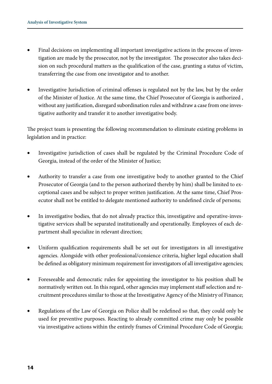- Final decisions on implementing all important investigative actions in the process of investigation are made by the prosecutor, not by the investigator. The prosecutor also takes decision on such procedural matters as the qualification of the case, granting a status of victim, transferring the case from one investigator and to another.
- Investigative Jurisdiction of criminal offenses is regulated not by the law, but by the order of the Minister of Justice. At the same time, the Chief Prosecutor of Georgia is authorized , without any justification, disregard subordination rules and withdraw a case from one investigative authority and transfer it to another investigative body.

The project team is presenting the following recommendation to eliminate existing problems in legislation and in practice:

- Investigative jurisdiction of cases shall be regulated by the Criminal Procedure Code of Georgia, instead of the order of the Minister of Justice;
- Authority to transfer a case from one investigative body to another granted to the Chief Prosecutor of Georgia (and to the person authorized thereby by him) shall be limited to exceptional cases and be subject to proper written justification. At the same time, Chief Prosecutor shall not be entitled to delegate mentioned authority to undefined circle of persons;
- In investigative bodies, that do not already practice this, investigative and operative-investigative services shall be separated institutionally and operationally. Employees of each department shall specialize in relevant direction;
- Uniform qualification requirements shall be set out for investigators in all investigative agencies. Alongside with other professional/consience criteria, higher legal education shall be defined as obligatory minimum requirement for investigators of all investigative agencies;
- Foreseeable and democratic rules for appointing the investigator to his position shall be normatively written out. In this regard, other agencies may implement staff selection and recruitment procedures similar to those at the Investigative Agency of the Ministry of Finance;
- Regulations of the Law of Georgia on Police shall be redefined so that, they could only be used for preventive purposes. Reacting to already committed crime may only be possible via investigative actions within the entirely frames of Criminal Procedure Code of Georgia;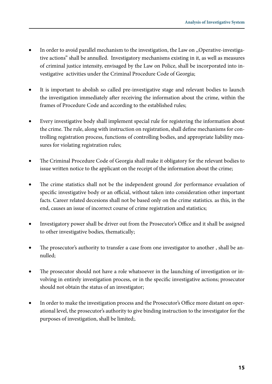- In order to avoid parallel mechanism to the investigation, the Law on "Operative-investigative actions" shall be annulled. Investigatory mechanisms existing in it, as well as measures of criminal justice intensity, envisaged by the Law on Police, shall be incorporated into investigative activities under the Criminal Procedure Code of Georgia;
- It is important to abolish so called pre-investigative stage and relevant bodies to launch the investigation immediately after receiving the information about the crime, within the frames of Procedure Code and according to the established rules;
- Every investigative body shall implement special rule for registering the information about the crime. The rule, along with instruction on registration, shall define mechanisms for controlling registration process, functions of controlling bodies, and appropriate liability measures for violating registration rules;
- The Criminal Procedure Code of Georgia shall make it obligatory for the relevant bodies to issue written notice to the applicant on the receipt of the information about the crime;
- The crime statistics shall not be the independent ground ,for performance evualation of specific investigative body or an official, without taken into consideration other important facts. Career related decesions shall not be based only on the crime statistics. as this, in the end, causes an issue of incorrect course of crime registration and statistics;
- Investigatory power shall be driver out from the Prosecutor's Office and it shall be assigned to other investigative bodies, thematically;
- The prosecutor's authority to transfer a case from one investigator to another, shall be annulled;
- The prosecutor should not have a role whatsoever in the launching of investigation or involving in entirely investigation process, or in the specific investigative actions; prosecutor should not obtain the status of an investigator;
- In order to make the investigation process and the Prosecutor's Office more distant on operational level, the prosecutor's authority to give binding instruction to the investigator for the purposes of investigation, shall be limited;.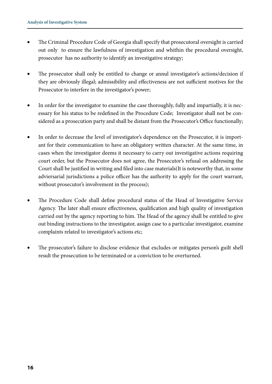- The Criminal Procedure Code of Georgia shall specify that prosecutoral oversight is carried out only to ensure the lawfulness of investigation and whithin the procedural oversight, prosecutor has no authority to identify an investigative strategy;
- The prosecutor shall only be entitled to change or annul investigator's actions/decision if they are obviously illegal; admissibility and effectiveness are not sufficient motives for the Prosecutor to interfere in the investigator's power;
- In order for the investigator to examine the case thoroughly, fully and impartially, it is necessary for his status to be redefined in the Procedure Code; Investigator shall not be considered as a prosecution party and shall be distant from the Prosecutor's Office functionally;
- In order to decrease the level of investigator's dependence on the Prosecutor, it is important for their communication to have an obligatory written character. At the same time, in cases when the investigator deems it necessary to carry out investigative actions requiring court order, but the Prosecutor does not agree, the Prosecutor's refusal on addressing the Court shall be justified in writing and filed into case materials(It is noteworthy that, in some adviersarial jurisdictions a police officer has the authority to apply for the court warrant, without prosecutor's involvement in the process);
- The Procedure Code shall define procedural status of the Head of Investigative Service Agency. The later shall ensure effectiveness, qualification and high quality of investigation carried out by the agency reporting to him. The Head of the agency shall be entitled to give out binding instructions to the investigator, assign case to a particular investigator, examine complaints related to investigator's actions etc;
- The prosecutor's failure to disclose evidence that excludes or mitigates person's guilt shell result the prosecution to be terminated or a conviction to be overturned.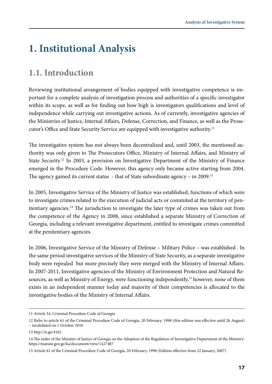## **1. Institutional Analysis**

#### **1.1. Introduction**

Reviewing institutional arrangement of bodies equipped with investigative competence is important for a complete analysis of investigation process and authorities of a specific investigator within its scope, as well as for finding out how high is investigators qualifications and level of independence while carrying out investigative actions. As of currently, investigative agencies of the Ministries of Justice, Internal Affairs, Defense, Correction, and Finance, as well as the Prosecutor's Office and State Security Service are equipped with investigative authority.<sup>11</sup>

The investigative system has not always been decentralized and, until 2003, the mentioned authority was only given to The Prosecutors Office, Ministry of Internal Affairs, and Ministry of State Security.12 In 2003, a provision on Investigative Department of the Ministry of Finance emerged in the Procedure Code. However, this agency only became active starting from 2004. The agency gained its current status - that of State subordinate agency - in 2009.<sup>13</sup>

In 2005, Investigative Service of the Ministry of Justice was established, functions of which were to investigate crimes related to the execution of judicial acts or commited at the territory of penitentiary agencies.14 The jurisdiction to investigate the later type of crimes was taken out from the competence of the Agency in 2008, since established a separate Ministry of Correction of Georgia, including a relevant investigative department, entitled to investigate crimes committed at the penitentiary agencies.

In 2006, Investigative Service of the Ministry of Defense – Military Police – was established . In the same period investigative services of the Ministry of State Security, as a separate investigative body were repealed but more precisely they were merged with the Ministry of Internal Affairs. In 2007-2011, Investigative agencies of the Ministry of Environment Protection and Natural Resources, as well as Ministry of Energy, were functioning independently,<sup>15</sup> however, none of them exists in an independent manner today and majority of their competencies is allocated to the investigative bodies of the Ministry of Internal Affairs.

<sup>11</sup> Article 34, Criminal Procedure Code of Georgia

<sup>12</sup> Refer to article 61 of the Criminal Procedure Code of Georgia, 20 February, 1998 (this edition was effective until 26 August) – invalidated on 1 October 2010

<sup>13</sup> http://is.ge/4162

<sup>14</sup> The order of the Minister of Justice of Georgia on the Adoption of the Regulation of Investigative Department of the Ministry: https://matsne.gov.ge/ka/document/view/1427487

<sup>15</sup> Article 61 of the Criminal Procedure Code of Georgia, 20 February, 1998 (Edition effective from 22 January, 2007)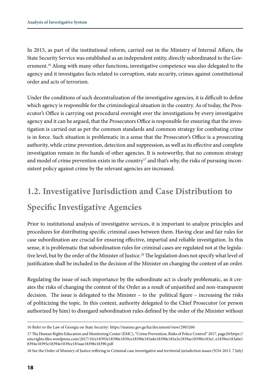In 2015, as part of the institutional reform, carried out in the Ministry of Internal Affairs, the State Security Service was established as an independent entity, directly subordinated to the Government.<sup>16</sup> Along with many other functions, investigative competence was also delegated to the agency and it investigates facts related to corruption, state security, crimes against constitutional order and acts of terrorism.

Under the conditions of such decentralization of the investigative agencies, it is difficult to define which agency is responsible for the criminological situation in the country. As of today, the Prosecutor's Office is carrying out procedural oversight over the investigations by every investigative agency and it can be argued, that the Prosecutors Office is responsible for ensuring that the investigation is carried out as per the common standards and common strategy for combating crime is in force. Such situation is problematic in a sense that the Prosecutor's Office is a prosecuting authority, while crime prevention, detection and suppression, as well as its effective and complete investigation remain in the hands of other agencies. It is noteworthy, that no common strategy and model of crime prevention exists in the country<sup>17</sup> and that's why, the risks of pursuing inconsistent policy against crime by the relevant agencies are increased.

## **1.2. Investigative Jurisdiction and Case Distribution to Specific Investigative Agencies**

Prior to institutional analysis of investigative services, it is important to analyze principles and procedures for distributing specific criminal cases between them. Having clear and fair rules for case subordination are crucial for ensuring effective, impartial and reliable investigation. In this sense, it is problematic that subordination rules for criminal cases are regulated not at the legislative level, but by the order of the Minister of Justice.<sup>18</sup> The legislation does not specify what level of justification shall be included in the decision of the Minister on changing the content of an order.

Regulating the issue of such importance by the subordinate act is clearly problematic, as it creates the risks of changing the content of the Order as a result of unjustified and non-transparent decision. The issue is delegated to the Minister – to the political figure – increasing the risks of politicizing the topic. In this context, authority delegated to the Chief Prosecutor (or person authorized by him) to disregard subordination rules defined by the order of the Minister without

<sup>16</sup> Refer to the Law of Georgia on State Security: https://matsne.gov.ge/ka/document/view/2905260

<sup>17</sup> The Human Rights Education and Monitoring Center (EMC), "Crime Prevention, Risks of Police Control" 2017, page20:https:// emcrights.files.wordpress.com/2017/10/e18393e18390e1839ce18390e183a8e18390e183a3e1839ae18398e183a1-e1839ee183a0e1 8394e18395e18394e1839ce183aae18398e18390.pdf

<sup>18</sup> See the Order of Ministry of Justice reffering to Criminal case investigative and territorial jurisdiction issues (N34-2013. 7 July)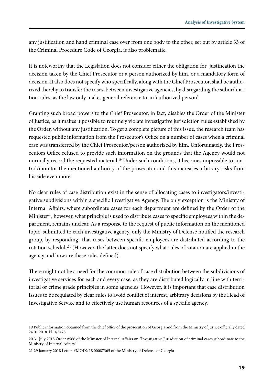any justification and hand criminal case over from one body to the other, set out by article 33 of the Criminal Procedure Code of Georgia, is also problematic.

It is noteworthy that the Legislation does not consider either the obligation for justification the decision taken by the Chief Prosecutor or a person authorized by him, or a mandatory form of decision. It also does not specify who specifically, along with the Chief Prosecutor, shall be authorized thereby to transfer the cases, between investigative agencies, by disregarding the subordination rules, as the law only makes general reference to an 'authorized person'.

Granting such broad powers to the Chief Prosecutor, in fact, disables the Order of the Minister of Justice, as it makes it possible to routinely violate investigative jurisdiction rules established by the Order, without any justification. To get a complete picture of this issue, the research team has requested public information from the Prosecutor's Office on a number of cases when a criminal case was transferred by the Chief Prosecutor/person authorized by him. Unfortunately, the Prosecutors Office refused to provide such information on the grounds that the Agency would not normally record the requested material.<sup>19</sup> Under such conditions, it becomes impossible to control/monitor the mentioned authority of the prosecutor and this increases arbitrary risks from his side even more.

No clear rules of case distribution exist in the sense of allocating cases to investigators/investigative subdivisions within a specific Investigative Agency. The only exception is the Ministry of Internal Affairs, where subordinate cases for each department are defined by the Order of the Minister<sup>20</sup>, however, what principle is used to distribute cases to specific employees within the department, remains unclear. As a response to the request of public information on the mentioned topic, submitted to each investigative agency, only the Ministry of Defense notified the research group, by responding that cases between specific employees are distributed according to the rotation schedule<sup>21</sup> (However, the latter does not specify what rules of rotation are applied in the agency and how are these rules defined).

There might not be a need for the common rule of case distribution between the subdivisions of investigative services for each and every case, as they are distributed logically in line with territorial or crime grade principles in some agencies. However, it is important that case distribution issues to be regulated by clear rules to avoid conflict of interest, arbitrary decisions by the Head of Investigative Service and to effectively use human resources of a specific agency.

<sup>19</sup> Public information obtained from the chief office of the prosecution of Georgia and from the Ministry of justice officially dated 24.01.2018. N13/5475

<sup>20 31</sup> July 2015 Order #566 of the Minister of Internal Affairs on "Investigative Jurisdiction of criminal cases subordinate to the Ministry of Internal Affairs"

<sup>21 29</sup> January 2018 Letter #MOD2 18 00087365 of the Ministry of Defense of Georgia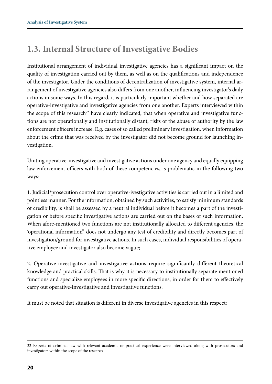### **1.3. Internal Structure of Investigative Bodies**

Institutional arrangement of individual investigative agencies has a significant impact on the quality of investigation carried out by them, as well as on the qualifications and independence of the investigator. Under the conditions of decentralization of investigative system, internal arrangement of investigative agencies also differs from one another, influencing investigator's daily actions in some ways. In this regard, it is particularly important whether and how separated are operative-investigative and investigative agencies from one another. Experts interviewed within the scope of this research<sup>22</sup> have clearly indicated, that when operative and investigative functions are not operationally and institutionally distant, risks of the abuse of authority by the law enforcement officers increase. E.g. cases of so called preliminary investigation, when information about the crime that was received by the investigator did not become ground for launching investigation.

Uniting operative-investigative and investigative actions under one agency and equally equipping law enforcement officers with both of these competencies, is problematic in the following two ways:

1. Judicial/prosecution control over operative-ivestigative activities is carried out in a limited and pointless manner. For the information, obtained by such activities, to satisfy minimum standards of credibility, is shall be assessed by a neutral individual before it becomes a part of the investigation or before specific investigative actions are carried out on the bases of such information. When afore-mentioned two functions are not institutionally allocated to different agencies, the 'operational information" does not undergo any test of credibility and directly becomes part of investigation/ground for investigative actions. In such cases, individual responsibilities of operative employee and investigator also become vague;

2. Operative-investigative and investigative actions require significantly different theoretical knowledge and practical skills. That is why it is necessary to institutionally separate mentioned functions and specialize employees in more specific directions, in order for them to effectively carry out operative-investigative and investigative functions.

It must be noted that situation is different in diverse investigative agencies in this respect:

<sup>22</sup> Experts of criminal law with relevant academic or practical experience were interviewed along with prosecutors and investigators within the scope of the research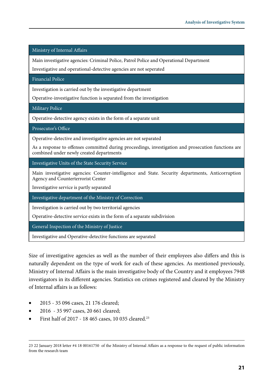Ministry of Internal Affairs

Main investigative agencies: Criminal Police, Patrol Police and Operational Department

Investigative and operational-detective agencies are not seperated

Financial Police

Investigation is carried out by the investigative department

Operative-investigative function is separated from the investigation

Military Police

Operative-detective agency exists in the form of a separate unit

Prosecutor's Office

Operative-detective and investigative agencies are not separated

As a response to offenses committed during proceedings, investigation and prosecution functions are combined under newly created departments

Investigative Units of the State Security Service

Main investigative agencies: Counter-intelligence and State. Security departments, Anticorruption Agency and Counterterrorist Center

Investigative service is partly separated

Investigative department of the Ministry of Correction

Investigation is carried out by two territorial agencies

Operative-detective service exists in the form of a separate subdivision

General Inspection of the Ministry of Justice

Investigative and Operative-detective functions are separated

Size of investigative agencies as well as the number of their employees also differs and this is naturally dependent on the type of work for each of these agencies. As mentioned previously, Ministry of Internal Affairs is the main investigative body of the Country and it employees 7948 investigators in its different agencies. Statistics on crimes registered and cleared by the Ministry of Internal affairs is as follows:

- 2015 35 096 cases, 21 176 cleared;
- 2016 35 997 cases, 20 661 cleared;
- First half of 2017 18 465 cases, 10 035 cleared.<sup>23</sup>

<sup>23 22</sup> January 2018 letter #4 18 00161750 of the Ministry of Internal Affairs as a response to the request of public information from the research team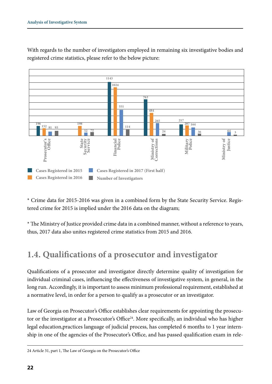

With regards to the number of investigators employed in remaining six investigative bodies and registered crime statistics, please refer to the below picture:

\* Crime data for 2015-2016 was given in a combined form by the State Security Service. Registered crime for 2015 is implied under the 2016 data on the diagram;

\* The Ministry of Justice provided crime data in a combined manner, without a reference to years, thus, 2017 data also unites registered crime statistics from 2015 and 2016.

#### **1.4. Qualifications of a prosecutor and investigator**

Qualifications of a prosecutor and investigator directly determine quality of investigation for individual criminal cases, influencing the effectiveness of investigative system, in general, in the long run. Accordingly, it is important to assess minimum professional requirement, established at a normative level, in order for a person to qualify as a prosecutor or an investigator.

Law of Georgia on Prosecutor's Office establishes clear requirements for appointing the prosecutor or the investigator at a Prosecutor's Office<sup>24</sup>. More specifically, an individual who has higher legal education,practices language of judicial process, has completed 6 months to 1 year internship in one of the agencies of the Prosecutor's Office, and has passed qualification exam in rele-

<sup>24</sup> Article 31, part 1, The Law of Georgia on the Prosecutor's Office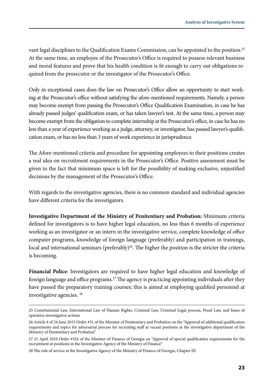vant legal disciplines to the Qualification Exams Commission, can be appointed to the position.25 At the same time, an employee of the Prosecutor's Office is required to possess relevant business and moral features and prove that his health condition is fit enough to carry out obligations required from the prosecutor or the investigator of the Prosecutor's Office.

Only in exceptional cases does the law on Prosecutor's Office allow an opportunity to start working at the Prosecutor's office without satisfying the afore-mentioned requirements. Namely, a person may become exempt from passing the Prosecutor's Office Qualification Examination, in case he has already passed judges' qualification exam, or has taken lawyer's test. At the same time, a person may become exempt from the obligation to complete internship at the Prosecutor's office, in case he has no less than a year of experience working as a judge, attorney, or investigator, has passed lawyer's qualification exam, or has no less than 3 years of work experience in jurisprudence.

The Afore-mentioned criteria and procedure for appointing employees to their positions creates a real idea on recruitment requirements in the Prosecutor's Office. Positive assessment must be given to the fact that minimum space is left for the possibility of making exclusive, unjustified decisions by the management of the Prosecutor's Office.

With regards to the investigative agencies, there is no common standard and individual agencies have different criteria for the investigators.

**Investigative Department of the Ministry of Penitentiary and Probation:** Minimum criteria defined for investigators is to have higher legal education, no less than 6 months of experience working as an investigator or an intern in the investigative service, complete knowledge of office computer programs, knowledge of foreign language (preferably) and participation in trainings, local and international seminars (preferably)<sup>26</sup>. The higher the position is the stricter the criteria is becoming.

**Financial Police**: Investigators are required to have higher legal education and knowledge of foreign language and office programs.<sup>27</sup> The agency is practicing appointing individuals after they have passed the preparatory training courses; this is aimed at employing qualified personnel at investigative agencies. 28

<sup>25</sup> Constitutional Law, International Law of Human Rights, Criminal Law, Criminal Legal process, Penal Law, and bases of operative-investigative actions

<sup>26</sup> Article 4 of 24 June 2015 Order #51 of the Minister of Penitentiary and Probation on the "Approval of additional qualification requirements and topics for adversarial process for recruiting staff at vacant positions at the investigative department of the Ministry of Penitentiary and Probation"

<sup>27 21</sup> April 2010 Order #324 of the Minister of Finance of Georgia on "Approval of special qualification requirements for the recruitment at positions in the Investigative Agency of the Ministry of Finance"

<sup>28</sup> The rule of service at the Investigative Agency of the Ministry of Finance of Georgia, Chapter III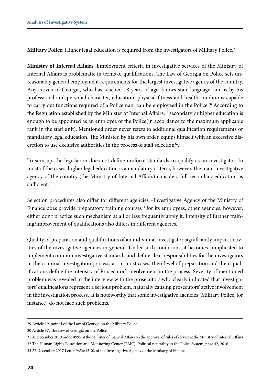**Military Police**: Higher legal education is required from the investigators of Military Police.29

**Ministry of Internal Affairs**: Employment criteria in investigative services of the Ministry of Internal Affairs is problematic in terms of qualifications. The Law of Georgia on Police sets unreasonably general employment requirements for the largest investigative agency of the country. Any citizen of Georgia, who has reached 18 years of age, knows state language, and is by his professional and personal character, education, physical fitness and health conditions capable to carry out functions required of a Policeman, can be employeed in the Police.30 According to the Regulation established by the Minister of Internal Affairs,<sup>31</sup> secondary or higher education is enough to be appointed as an employee of the Police(in accordance to the maximum applicable rank in the staff unit). Mentioned order never refers to additional qualification requirements or mandatory legal education. The Minister, by his own order, equips himself with an excessive discretion to use exclusive authorities in the process of staff selection<sup>32</sup>.

To sum up, the legislation does not define uniform standards to qualify as an investigator. In most of the cases, higher legal education is a mandatory criteria, however, the main investigative agency of the country (the Ministry of Internal Affairs) considers full secondary education as sufficient.

Selection procedures also differ for different agencies –Investigative Agency of the Ministry of Finance does provide preparatory training courses<sup>33</sup> for its employees, other agencies, however, either don't practice such mechanism at all or less frequently apply it. Intensity of further training/improvement of qualifications also differs in different agencies.

Quality of preparation and qualifications of an individual investigator significantly impact activities of the investigative agencies in general. Under such conditions, it becomes complicated to implement common investigative standards and define clear responsibilities for the investigators in the criminal investigation process, as, in most cases, their level of preparation and their qualifications define the intensity of Prosecutor's involvement in the process. Severity of mentioned problem was revealed in the interview with the prosecutors who clearly indicated that investigators' qualifications represent a serious problem, naturally causing prosecutors' active involvement in the investigation process. It is noteworthy that some investigative agencies (Military Police, for instance) do not face such problems.

<sup>29</sup> Article 19, point I of the Law of Georgia on the Military Police.

<sup>30</sup> Article 37, The Law of Georgia on the Police

<sup>31 31</sup> December 2013 order #995 of the Minister of Internal Affairs on the approval of rules of service at the Ministry of Internal Affairs

<sup>32</sup> The Human Rights Education and Monitoring Center (EMC), Political neutrality in the Police System, page 42, 2016

<sup>33 22</sup> December 2017 Letter 9656/15-02 of the Investigative Agency of the Ministry of Finance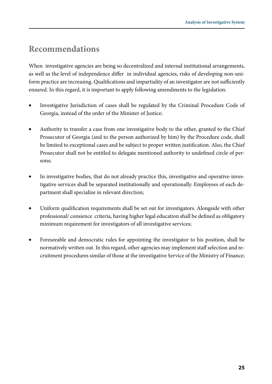#### **Recommendations**

When investigative agencies are being so decentralized and internal institutional arrangements, as well as the level of independence differ in individual agencies, risks of developing non-uniform practice are increasing. Qualifications and impartiality of an investigator are not sufficiently ensured. In this regard, it is important to apply following amendments to the legislation:

- Investigative Jurisdiction of cases shall be regulated by the Criminal Procedure Code of Georgia, instead of the order of the Minister of Justice;
- Authority to transfer a case from one investigative body to the other, granted to the Chief Prosecutor of Georgia (and to the person authorized by him) by the Procedure code, shall be limited to exceptional cases and be subject to proper written justification. Also, the Chief Prosecutor shall not be entitled to delegate mentioned authority to undefined circle of persons;
- In investigative bodies, that do not already practice this, investigative and operative-investigative services shall be separated institutionally and operationally. Employees of each department shall specialize in relevant direction;
- Uniform qualification requirements shall be set out for investigators. Alongside with other professional/ consience criteria, having higher legal education shall be defined as obligatory minimum requirement for investigators of all investigative services;
- Foreseeable and democratic rules for appointing the investigator to his position, shall be normatively written out. In this regard, other agencies may implement staff selection and recruitment procedures similar of those at the investigative Service of the Ministry of Finance;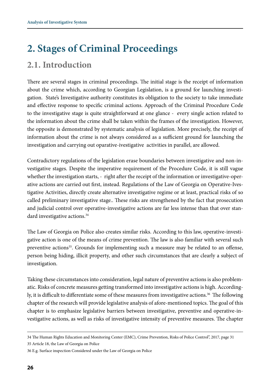## **2. Stages of Criminal Proceedings**

#### **2.1. Introduction**

There are several stages in criminal proceedings. The initial stage is the receipt of information about the crime which, according to Georgian Legislation, is a ground for launching investigation. State's Investigative authority constitutes its obligation to the society to take immediate and effective response to specific criminal actions. Approach of the Criminal Procedure Code to the investigative stage is quite straightforward at one glance - every single action related to the information about the crime shall be taken within the frames of the investigation. However, the opposite is demonstrated by systematic analysis of legislation. More precisely, the receipt of information about the crime is not always considered as a sufficient ground for launching the investigation and carrying out oparative-ivestigative activities in parallel, are allowed.

Contradictory regulations of the legislation erase boundaries between investigative and non-investigative stages. Despite the imperative requirement of the Procedure Code, it is still vague whether the investigation starts, - right after the receipt of the information or investigative-operative actions are carried out first, instead. Regulations of the Law of Georgia on Operative-Ivestigative Activities, directly create alternative investigative regime or at least, practical risks of so called preliminary investigative stage.. These risks are strengthened by the fact that prosecution and judicial control over operative-investigative actions are far less intense than that over standard investigative actions.<sup>34</sup>

The Law of Georgia on Police also creates similar risks. According to this law, operative-investigative action is one of the means of crime prevention. The law is also familiar with several such preventive actions<sup>35</sup>. Grounds for implementing such a measure may be related to an offense, person being hiding, illicit property, and other such circumstances that are clearly a subject of investigation.

Taking these circumstances into consideration, legal nature of preventive actions is also problematic. Risks of concrete measures getting transformed into investigative actions is high. Accordingly, it is difficult to differentiate some of these measures from investigative actions.<sup>36</sup> The following chapter of the research will provide legislative analysis of afore-mentioned topics. The goal of this chapter is to emphasize legislative barriers between investigative, preventive and operative-investigative actions, as well as risks of investigative intensity of preventive measures. The chapter

35 Article 18, the Law of Georgia on Police

<sup>34</sup> The Human Rights Education and Monitoring Center (EMC), Crime Prevention, Risks of Police Control", 2017, page 31

<sup>36</sup> E.g. Surface inspection Considered under the Law of Georgia on Police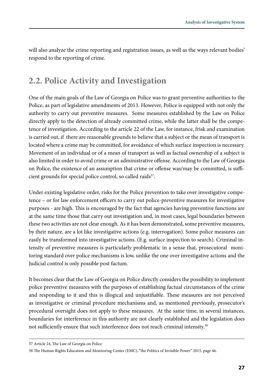will also analyze the crime reporting and registration issues, as well as the ways relevant bodies' respond to the reporting of crime.

#### **2.2. Police Activity and Investigation**

One of the main goals of the Law of Georgia on Police was to grant preventive authorities to the Police, as part of legislative amendments of 2013. However, Police is equipped with not only the authority to carry out preventive measures. Some measures established by the Law on Police directly apply to the detection of already committed crime, while the latter shall be the competence of investigation. According to the article 22 of the Law, for instance, frisk and examination is carried out, if there are reasonable grounds to believe that a subject or the mean of transport is located where a crime may be committed, for avoidance of which surface inspection is necessary. Movement of an individual or of a mean of transport as well as factual ownership of a subject is also limited in order to avoid crime or an administrative offense. According to the Law of Georgia on Police, the existence of an assumption that crime or offense was/may be committed, is sufficient grounds for special police control, so called raids<sup>37</sup>.

Under existing legislative order, risks for the Police prevention to take over investigative competence – or for law enforcement officers to carry out police-preventive measures for investigative purposes - are high. This is encouraged by the fact that agencies having preventive functions are at the same time those that carry out investigation and, in most cases, legal boundaries between these two activities are not clear enough. As it has been demonstrated, some preventive measures, by their nature, are a lot like investigative actions (e.g. interrogation). Some police measures can easily be transformed into investigative actions. (E.g. surface inspection to search). Criminal intensity of preventive measures is particularly problematic in a sense that, prosecutoral monitoring standard over police mechanisms is low, unlike the one over investigative actions and the Judicial control is only possible post factum.

It becomes clear that the Law of Georgia on Police directly considers the possibility to implement police preventive measures with the purposes of establishing factual circumstances of the crime and responding to it and this is illogical and unjustifiable. These measures are not perceived as investigative or criminal procedure mechanisms and, as mentioned previously, prosecutor's procedural oversight does not apply to these measures. At the same time, in several instances, boundaries for interference in this authority are not clearly established and the legislation does not sufficiently ensure that such interference does not reach criminal intensity.<sup>38</sup>

<sup>37</sup> Article 24, The Law of Georgia on Police

<sup>38</sup> The Human Rights Education and Monitoring Center (EMC), "the Politics of Invisible Power" 2015, page 46.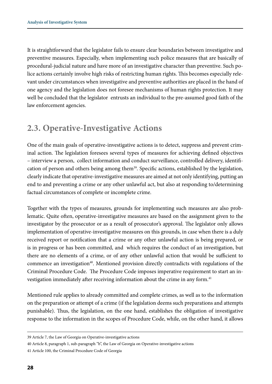It is straightforward that the legislator fails to ensure clear boundaries between investigative and preventive measures. Especially, when implementing such police measures that are basically of procedural-judicial nature and have more of an investigative character than preventive. Such police actions certainly involve high risks of restricting human rights. This becomes especially relevant under circumstances when investigative and preventive authorities are placed in the hand of one agency and the legislation does not foresee mechanisms of human rights protection. It may well be concluded that the legislator entrusts an individual to the pre-assumed good faith of the law enforcement agencies.

#### **2.3. Operative-Investigative Actions**

One of the main goals of operative-investigative actions is to detect, suppress and prevent criminal action. The legislation foresees several types of measures for achieving defined objectives – interview a person, collect information and conduct surveillance, controlled delivery, identification of person and others being among them<sup>39</sup>. Specific actions, established by the legislation, clearly indicate that operative-investigative measures are aimed at not only identifying, putting an end to and preventing a crime or any other unlawful act, but also at responding to/determining factual circumstances of complete or incomplete crime.

Together with the types of measures, grounds for implementing such measures are also problematic. Quite often, operative-investigative measures are based on the assignment given to the investigator by the prosecutor or as a result of prosecutor's approval. The legislator only allows implementation of operative-investigative measures on this grounds, in case when there is a duly received report or notification that a crime or any other unlawful action is being prepared, or is in progress or has been committed, and which requires the conduct of an investigation, but there are no elements of a crime, or of any other unlawful action that would be sufficient to commence an investigation<sup>40</sup>. Mentioned provision directly contradicts with regulations of the Criminal Procedure Code. The Procedure Code imposes imperative requirement to start an investigation immediately after receiving information about the crime in any form.<sup>41</sup>

Mentioned rule applies to already committed and complete crimes, as well as to the information on the preparation or attempt of a crime (if the legislation deems such preparations and attempts punishable). Thus, the legislation, on the one hand, establishes the obligation of investigative response to the information in the scopes of Procedure Code, while, on the other hand, it allows

<sup>39</sup> Article 7, the Law of Georgia on Operative-investigative actions

<sup>40</sup> Article 8, paragraph 1, sub-paragraph "b", the Law of Georgia on Operative-investigative actions

<sup>41</sup> Article 100, the Criminal Procedure Code of Georgia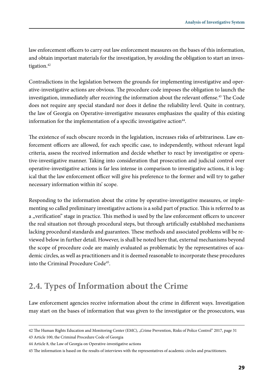law enforcement officers to carry out law enforcement measures on the bases of this information, and obtain important materials for the investigation, by avoiding the obligation to start an investigation.<sup>42</sup>

Contradictions in the legislation between the grounds for implementing investigative and operative-investigative actions are obvious. The procedure code imposes the obligation to launch the investigation, immediately after receiving the information about the relevant offense.<sup>43</sup> The Code does not require any special standard nor does it define the reliability level. Quite in contrary, the law of Georgia on Operative-investigative measures emphasizes the quality of this existing information for the implementation of a specific investigative action $44$ .

The existence of such obscure records in the legislation, increases risks of arbitrariness. Law enforcement officers are allowed, for each specific case, to independently, without relevant legal criteria, assess the received information and decide whether to react by investigative or operative-investigative manner. Taking into consideration that prosecution and judicial control over operative-investigative actions is far less intense in comparison to investigative actions, it is logical that the law enforcement officer will give his preference to the former and will try to gather necessary information within its' scope.

Responding to the information about the crime by operative-investigative measures, or implementing so called preliminary investigative actions is a solid part of practice. This is referred to as a ,,verification" stage in practice. This method is used by the law enforcement officers to uncover the real situation not through procedural steps, but through artificially established mechanisms lacking procedural standards and guarantees. These methods and associated problems will be reviewed below in further detail. However, is shall be noted here that, external mechanisms beyond the scope of procedure code are mainly evaluated as problematic by the representatives of academic circles, as well as practitioners and it is deemed reasonable to incorporate these procedures into the Criminal Procedure Code<sup>45</sup>.

#### **2.4. Types of Information about the Crime**

Law enforcement agencies receive information about the crime in different ways. Investigation may start on the bases of information that was given to the investigator or the prosecutors, was

43 Article 100, the Criminal Procedure Code of Georgia

<sup>42</sup> The Human Rights Education and Monitoring Center (EMC), "Crime Prevention, Risks of Police Control" 2017, page 31

<sup>44</sup> Article 8, the Law of Georgia on Operative-investigative actions

<sup>45</sup> The information is based on the results of interviews with the representatives of academic circles and practitioners.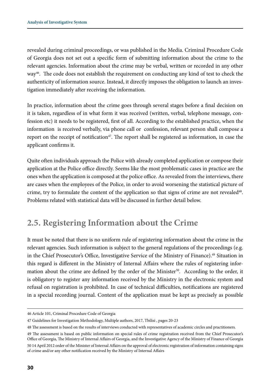revealed during criminal proceedings, or was published in the Media. Criminal Procedure Code of Georgia does not set out a specific form of submitting information about the crime to the relevant agencies. Information about the crime may be verbal, written or recorded in any other way46. The code does not establish the requirement on conducting any kind of test to check the authenticity of information source. Instead, it directly imposes the obligation to launch an investigation immediately after receiving the information.

In practice, information about the crime goes through several stages before a final decision on it is taken, regardless of in what form it was received (written, verbal, telephone message, confession etc) it needs to be registered, first of all. According to the established practice, when the information is received verbally, via phone call or confession, relevant person shall compose a report on the receipt of notification<sup>47</sup>. The report shall be registered as information, in case the applicant confirms it.

Quite often individuals approach the Police with already completed application or compose their application at the Police office directly. Seems like the most problematic cases in practice are the ones when the application is composed at the police office. As revealed from the interviews, there are cases when the employees of the Police, in order to avoid worsening the statistical picture of crime, try to formulate the content of the application so that signs of crime are not revealed48. Problems related with statistical data will be discussed in further detail below.

#### **2.5. Registering Information about the Crime**

It must be noted that there is no uniform rule of registering information about the crime in the relevant agencies. Such information is subject to the general regulations of the proceedings (e.g. in the Chief Prosecutor's Office, Investigative Service of the Ministry of Finance).<sup>49</sup> Situation in this regard is different in the Ministry of Internal Affairs where the rules of registering information about the crime are defined by the order of the Minister<sup>50</sup>. According to the order, it is obligatory to register any information received by the Ministry in the electronic system and refusal on registration is prohibited. In case of technical difficulties, notifications are registered in a special recording journal. Content of the application must be kept as precisely as possible

<sup>46</sup> Article 101, Criminal Procedure Code of Georgia

<sup>47</sup> Guidelines for Investigation Methodology, Multiple authors, 2017, Tbilisi , pages 20-23

<sup>48</sup> The assessment is based on the results of interviews conducted with representatives of academic circles and practitioners.

<sup>49</sup> The assessment is based on public information on special rules of crime registration received from the Chief Prosecutor's Office of Georgia, The Ministry of Internal Affairs of Georgia, and the Investigative Agency of the Ministry of Finance of Georgia 50 14 April 2012 order of the Minister of Internal Affairs on the approval of electronic registration of information containing signs of crime and/or any other notification received by the Ministry of Internal Affairs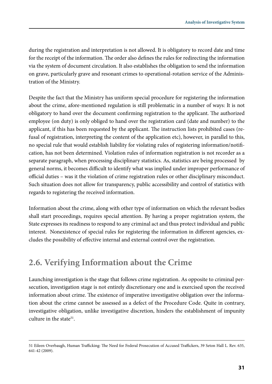during the registration and interpretation is not allowed. It is obligatory to record date and time for the receipt of the information. The order also defines the rules for redirecting the information via the system of document circulation. It also establishes the obligation to send the information on grave, particularly grave and resonant crimes to operational-rotation service of the Administration of the Ministry.

Despite the fact that the Ministry has uniform special procedure for registering the information about the crime, afore-mentioned regulation is still problematic in a number of ways: It is not obligatory to hand over the document confirming registration to the applicant. The authorized employee (on duty) is only obliged to hand over the registration card (date and number) to the applicant, if this has been requested by the applicant. The instruction lists prohibited cases (refusal of registration, interpreting the content of the application etc), however, in parallel to this, no special rule that would establish liability for violating rules of registering information/notification, has not been determined. Violation rules of information registration is not recorder as a separate paragraph, when processing disciplinary statistics. As, statistics are being processed by general norms, it becomes difficult to identify what was implied under improper performance of official duties – was it the violation of crime registration rules or other disciplinary misconduct. Such situation does not allow for transparency, public accessibility and control of statistics with regards to registering the received information.

Information about the crime, along with other type of information on which the relevant bodies shall start proceedings, requires special attention. By having a proper registration system, the State expresses its readiness to respond to any criminal act and thus protect individual and public interest. Nonexistence of special rules for registering the information in different agencies, excludes the possibility of effective internal and external control over the registration.

#### **2.6. Verifying Information about the Crime**

Launching investigation is the stage that follows crime registration. As opposite to criminal persecution, investigation stage is not entirely discretionary one and is exercised upon the received information about crime. The existence of imperative investigative obligation over the information about the crime cannot be assessed as a defect of the Procedure Code. Quite in contrary, investigative obligation, unlike investigative discretion, hinders the establishment of impunity culture in the state $51$ .

<sup>51</sup> Eileen Overbaugh, Human Trafficking: The Need for Federal Prosecution of Accused Traffickers, 39 Seton Hall L. Rev. 635, 641-42 (2009).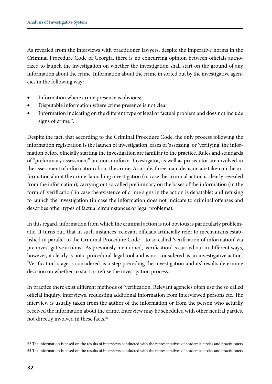As revealed from the interviews with practitioner lawyers, despite the imperative norms in the Criminal Procedure Code of Georgia, there is no concurring opinion between officials authorized to launch the investigation on whether the investigation shall start on the ground of any information about the crime. Information about the crime in sorted out by the investigative agencies in the following way:

- Information where crime presence is obvious;
- Disputable information where crime presence is not clear;
- Information indicating on the different type of legal or factual problem and does not include signs of crime<sup>52</sup>.

Despite the fact, that according to the Criminal Procedure Code, the only process following the information registration is the launch of investigation, cases of 'assessing' or 'verifying' the information before officially starting the investigation are familiar to the practice. Rules and standards of "preliminary assessment" are non-uniform. Investigator, as well as prosecutor are involved in the assessment of information about the crime; As a rule, three main decision are taken on the information about the crime: launching investigation (in case the criminal action is clearly revealed from the information), carrying out so called preliminary on the bases of the information (in the form of 'verification' in case the existence of crime signs in the action is debatable) and refusing to launch the investigation (in case the information does not indicate to criminal offenses and describes other types of factual circumstances or legal problems).

In this regard, information from which the criminal action is not obvious is particularly problematic. It turns out, that in such instances, relevant officials artificially refer to mechanisms established in parallel to the Criminal Procedure Code – to so called 'verification of information' via pre investigative actions. As previously mentioned, 'verification' is carried out in different ways, however, it clearly is not a procedural-legal tool and is not considered as an investigative action. 'Verification' stage is considered as a step preceding the investigation and its' results determine decision on whether to start or refuse the investigation process.

In practice there exist different methods of 'verification'. Relevant agencies often use the so called official inquiry, interviews, requesting additional information from interviewed persons etc. The interview is usually taken from the author of the information or from the person who actually received the information about the crime. Interview may be scheduled with other neutral parties, not directly involved in these facts.<sup>53</sup>

<sup>52</sup> The information is based on the results of interviews conducted with the representatives of academic circles and practitioners 53 The information is based on the results of interviews conducted with the representatives of academic circles and practitioners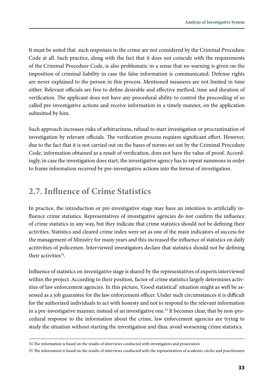It must be noted that such responses to the crime are not considered by the Criminal Procedure Code at all. Such practice, along with the fact that it does not coincide with the requirements of the Criminal Procedure Code, is also problematic in a sense that no warning is given on the imposition of criminal liability in case the false information is communicated. Defense rights are never explained to the person in this process. Mentioned measures are not limited in time either. Relevant officials are free to define desirable and effective method, time and duration of verification. The applicant does not have any procedural ability to control the proceeding of so called pre-investigative actions and receive information in a timely manner, on the application submitted by him.

Such approach increases risks of arbitrariness, refusal to start investigation or procrastination of investigation by relevant officials. The verification process requires significant effort. However, due to the fact that it is not carried out on the bases of norms set out by the Criminal Procedure Code, information obtained as a result of verification, does not have the value of proof. Accordingly, in case the investigation does start, the investigative agency has to repeat summons in order to frame information received by pre-investigative actions into the format of investigation.

#### **2.7. Influence of Crime Statistics**

In practice, the introduction or pre-investigative stage may have an intention to artificially influence crime statistics. Representatives of investigative agencies do not confirm the influence of crime statistics in any way, but they indicate that crime statistics should not be defining their activities. Statistics and cleared crime index were set as one of the main indicators of success for the management of Ministry for many years and this increased the influence of statistics on daily actitivities of policemen. Interviewed investigators declare that statistics should not be defining their activities<sup>54</sup>.

Influence of statistics on investigative stage is shared by the representatives of experts interviewed within the project. According to their position, factor of crime statistics largely determines activities of law enforcement agencies. In this picture, 'Good statistical' situation might as well be assessed as a job guarantee for the law enforcement officer. Under such circumstances it is difficult for the authorized individuals to act with honesty and not to respond to the relevant information in a pre-investigative manner, instead of an investigative one.<sup>55</sup> It becomes clear, that by non-procedural response to the information about the crime, law enforcement agencies are trying to study the situation without starting the investigation and thus, avoid worsening crime statistics.

<sup>54</sup> The information is based on the results of interviews conducted with investigators and prosecutors

<sup>55</sup> The information is based on the results of interviews conducted with the representatives of academic circles and practitioners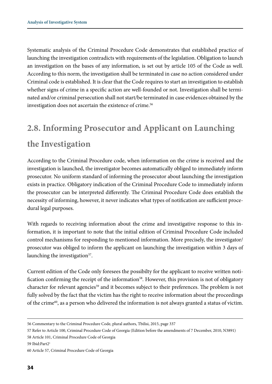Systematic analysis of the Criminal Procedure Code demonstrates that established practice of launching the investigation contradicts with requirements of the legislation. Obligation to launch an investigation on the bases of any information, is set out by article 105 of the Code as well. According to this norm, the investigation shall be terminated in case no action considered under Criminal code is established. It is clear that the Code requires to start an investigation to establish whether signs of crime in a specific action are well-founded or not. Investigation shall be terminated and/or criminal persecution shall not start/be terminated in case evidences obtained by the investigation does not ascertain the existence of crime.<sup>56</sup>

## **2.8. Informing Prosecutor and Applicant on Launching the Investigation**

According to the Criminal Procedure code, when information on the crime is received and the investigation is launched, the investigator becomes automatically obliged to immediately inform prosecutor. No uniform standard of informing the prosecutor about launching the investigation exists in practice. Obligatory indication of the Criminal Procedure Code to immediately inform the prosecutor can be interpreted differently. The Criminal Procedure Code does establish the necessity of informing, however, it never indicates what types of notification are sufficient procedural legal purposes.

With regards to receiving information about the crime and investigative response to this information, it is important to note that the initial edition of Criminal Procedure Code included control mechanisms for responding to mentioned information. More precisely, the investigator/ prosecutor was obliged to inform the applicant on launching the investigation within 3 days of launching the investigation<sup>57</sup>.

Current edition of the Code only foresees the possibilty for the applicant to receive written notification confirming the receipt of the information<sup>58</sup>. However, this provision is not of obligatory character for relevant agencies<sup>59</sup> and it becomes subject to their preferences. The problem is not fully solved by the fact that the victim has the right to receive information about the proceedings of the crime $60$ , as a person who delivered the information is not always granted a status of victim.

<sup>56</sup> Commentary to the Criminal Procedure Code, plural authors, Tbilisi, 2015, page 337

<sup>57</sup> Refer to Article 100, Criminal Procedure Code of Georgia (Edition before the amendments of 7 December, 2010, N3891)

<sup>58</sup> Article 101, Criminal Procedure Code of Georgia

<sup>59</sup> Ibid:Part21

<sup>60</sup> Article 57, Criminal Procedure Code of Georgia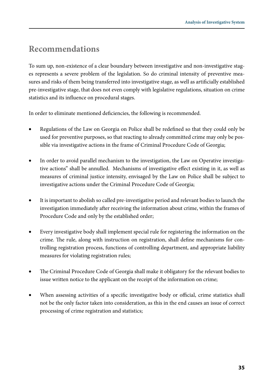#### **Recommendations**

To sum up, non-existence of a clear boundary between investigative and non-investigative stages represents a severe problem of the legislation. So do criminal intensity of preventive measures and risks of them being transferred into investigative stage, as well as artificially established pre-investigative stage, that does not even comply with legislative regulations, situation on crime statistics and its influence on procedural stages.

In order to eliminate mentioned deficiencies, the following is recommended.

- Regulations of the Law on Georgia on Police shall be redefined so that they could only be used for preventive purposes, so that reacting to already committed crime may only be possible via investigative actions in the frame of Criminal Procedure Code of Georgia;
- In order to avoid parallel mechanism to the investigation, the Law on Operative investigative actions" shall be annulled. Mechanisms of investigative effect existing in it, as well as measures of criminal justice intensity, envisaged by the Law on Police shall be subject to investigative actions under the Criminal Procedure Code of Georgia;
- It is important to abolish so called pre-investigative period and relevant bodies to launch the investigation immediately after receiving the information about crime, within the frames of Procedure Code and only by the established order;
- Every investigative body shall implement special rule for registering the information on the crime. The rule, along with instruction on registration, shall define mechanisms for controlling registration process, functions of controlling department, and appropriate liability measures for violating registration rules;
- The Criminal Procedure Code of Georgia shall make it obligatory for the relevant bodies to issue written notice to the applicant on the receipt of the information on crime;
- When assessing activities of a specific investigative body or official, crime statistics shall not be the only factor taken into consideration, as this in the end causes an issue of correct processing of crime registration and statistics;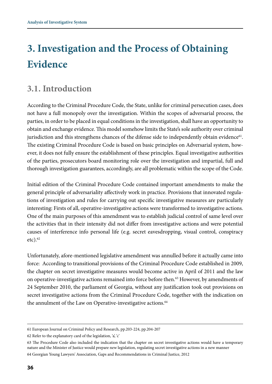## **3. Investigation and the Process of Obtaining Evidence**

#### **3.1. Introduction**

According to the Criminal Procedure Code, the State, unlike for criminal persecution cases, does not have a full monopoly over the investigation. Within the scopes of adversarial process, the parties, in order to be placed in equal conditions in the investigation, shall have an opportunity to obtain and exchange evidence. This model somehow limits the State's sole authority over criminal jurisdiction and this strengthens chances of the difense side to independently obtain evidence $61$ . The existing Criminal Procedure Code is based on basic principles on Adversarial system, however, it does not fully ensure the establishment of these principles. Equal investigative authorities of the parties, prosecutors board monitoring role over the investigation and impartial, full and thorough investigation guarantees, accordingly, are all problematic within the scope of the Code.

Initial edition of the Criminal Procedure Code contained important amendments to make the general principle of adversariality affectively work in practice. Provisions that innovated regulations of investigation and rules for carrying out specific investigative measures are particularly interesting: Firsts of all, operative-investigative actions were transformed to investigative actions. One of the main purposes of this amendment was to establish judicial control of same level over the activities that in their intensity did not differ from investigative actions and were potential causes of interference info personal life (e.g. secret eavesdropping, visual control, conspiracy  $etc).<sup>62</sup>$ 

Unfortunately, afore-mentioned legislative amendment was annulled before it actually came into force: According to transitional provisions of the Criminal Procedure Code established in 2009, the chapter on secret investigative measures would become active in April of 2011 and the law on operative-investigative actions remained into force before then.<sup>63</sup> However, by amendments of 24 September 2010, the parliament of Georgia, without any justification took out provisions on secret investigative actions from the Criminal Procedure Code, together with the indication on the annulment of the Law on Operative-investigative actions.<sup>64</sup>

<sup>61</sup> European Journal on Criminal Policy and Research, pp.203-224, pp.204-207

<sup>62</sup> Refer to the explanatory card of the legislation, 'a', 'c'

<sup>63</sup> The Procedure Code also included the indication that the chapter on secret investigative actions would have a temporary nature and the Minister of Justice would prepare new legislation, regulating secret investigative actions in a new manner 64 Georgian Young Lawyers' Association, Gaps and Recommendations in Criminal Justice, 2012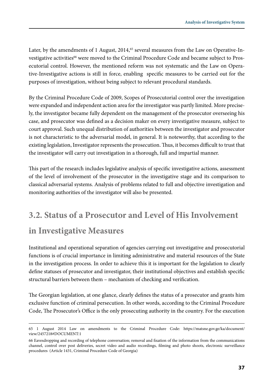Later, by the amendments of 1 August,  $2014$ ,<sup>65</sup> several measures from the Law on Operative-Investigative activities<sup>66</sup> were moved to the Criminal Procedure Code and became subject to Prosecutorial control. However, the mentioned reform was not systematic and the Law on Operative-Investigative actions is still in force, enabling specific measures to be carried out for the purposes of investigation, without being subject to relevant procedural standards.

By the Criminal Procedure Code of 2009, Scopes of Prosecutorial control over the investigation were expanded and independent action area for the investigator was partly limited. More precisely, the investigator became fully dependent on the management of the prosecutor overseeing his case, and prosecutor was defined as a decision maker on every investigative measure, subject to court approval. Such unequal distribution of authorities between the investigator and prosecutor is not characteristic to the adversarial model, in general. It is noteworthy, that according to the existing legislation, Investigator represents the prosecution. Thus, it becomes difficult to trust that the investigator will carry out investigation in a thorough, full and impartial manner.

This part of the research includes legislative analysis of specific investigative actions, assessment of the level of involvement of the prosecutor in the investigative stage and its comparison to classical adversarial systems. Analysis of problems related to full and objective investigation and monitoring authorities of the investigator will also be presented.

#### **3.2. Status of a Prosecutor and Level of His Involvement**

#### **in Investigative Measures**

Institutional and operational separation of agencies carrying out investigative and prosecutorial functions is of crucial importance in limiting administrative and material resources of the State in the investigation process. In order to achieve this it is important for the legislation to clearly define statuses of prosecutor and investigator, their institutional objectives and establish specific structural barriers between them – mechanism of checking and verification.

The Georgian legislation, at one glance, clearly defines the status of a prosecutor and grants him exclusive function of criminal persecution. In other words, according to the Criminal Procedure Code, The Prosecutor's Office is the only prosecuting authority in the country. For the execution

<sup>65 1</sup> August 2014 Law on amendments to the Criminal Procedure Code: https://matsne.gov.ge/ka/document/ view/2457218#DOCUMENT:1

<sup>66</sup> Eavesdropping and recording of telephone conversation; removal and fixation of the information from the communications channel, control over post deliveries, secret video and audio recordings, filming and photo shoots, electronic surveillance procedures (Article 1431, Criminal Procedure Code of Georgia)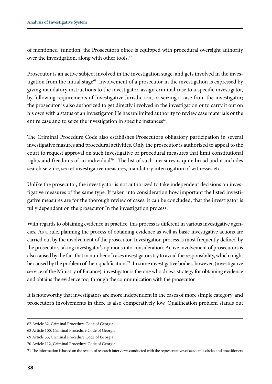of mentioned function, the Prosecutor's office is equipped with procedural oversight authority over the investigation, along with other tools.<sup>67</sup>

Prosecutor is an active subject involved in the investigation stage, and gets involved in the investigation from the initial stage<sup>68</sup>. Involvement of a prosecutor in the investigation is expressed by giving mandatory instructions to the investigator, assign criminal case to a specific investigator, by following requirements of Investigative Jurisdiction, or seizing a case from the investigator; the prosecutor is also authorized to get directly involved in the investigation or to carry it out on his own with a status of an investigator. He has unlimited authority to review case materials or the entire case and to seize the investigation in specific instances<sup>69</sup>.

The Criminal Procedure Code also establishes Prosecutor's obligatory participation in several investigative masures and procedural activities. Only the prosecutor is authorized to appeal to the court to request approval on such investigative or procedural measures that limit constitutional rights and freedoms of an individual<sup>70</sup>. The list of such measures is quite broad and it includes search seizure, secret investigative measures, mandatory interrogation of witnesses etc.

Unlike the prosecutor, the investigator is not authorized to take independent decisions on investigative measures of the same type. If taken into consideration how important the listed investigative measures are for the thorough review of cases, it can be concluded, that the investigator is fully dependant on the prosecutor In the investigation process.

With regards to obtaining evidence in practice, this process is different in various investigative agencies. As a rule, planning the process of obtaining evidence as well as basic investigative actions are carried out by the involvement of the prosecutor. Investigation process is most frequently defined by the prosecutor, taking investigator's opinions into consideration. Active involvement of prosecutors is also caused by the fact that in number of cases investigators try to avoid the responsibility, which might be caused by the problem of their qualifications<sup>71</sup>. In some investigative bodies, however, (investigative service of the Ministry of Finance), investigator is the one who draws strategy for obtaining evidence and obtains the evidence too, through the communication with the prosecutor.

It is noteworthy that investigators are more independent in the cases of more simple category and prosecutor's involvements in there is also comperatively low. Qualification problem stands out

70 Article 112, Criminal Procedure Code of Georgia

<sup>67</sup> Article 32, Criminal Procedure Code of Georgia

<sup>68</sup> Article 100, Criminal Procedure Code of Georgia

<sup>69</sup> Article 33, Criminal Procedure Code of Georgia.

<sup>71</sup> The information is based on the results of research interviews conducted with the representatives of academic circles and practitioners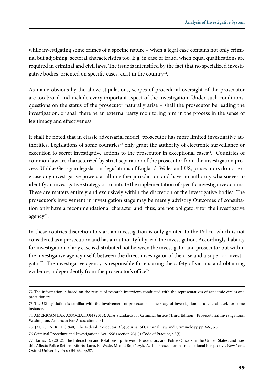while investigating some crimes of a specific nature – when a legal case contains not only criminal but adjoining, sectoral characteristics too. E.g. in case of fraud, when equal qualifications are required in criminal and civil laws. The issue is intensified by the fact that no specialized investigative bodies, oriented on specific cases, exist in the country<sup>72</sup>.

As made obvious by the above stipulations, scopes of procedural oversight of the prosecutor are too broad and include every important aspect of the investigation. Under such conditions, questions on the status of the prosecutor naturally arise – shall the prosecutor be leading the investigation, or shall there be an external party monitoring him in the process in the sense of legitimacy and effectiveness.

It shall be noted that in classic adversarial model, prosecutor has more limited investigative authorities. Legislations of some countries<sup>73</sup> only grant the authority of electronic surveillance or execution fo secret investigative actions to the prosecutor in exceptional cases<sup>74</sup>. Countries of common law are characterized by strict separation of the prosecutor from the investigation process. Unlike Georgian legislation, legislations of England, Wales and US, prosecutors do not exercise any investigative powers at all in either jurisdiction and have no authority whatsoever to identify an investigative strategy or to initiate the implementation of specific investigative actions. These are matters entirely and exclusively within the discretion of the investigative bodies. The prosecutor's involvement in investigation stage may be merely advisory Outcomes of consultation only have a recommendational character and, thus, are not obligatory for the investigative agency<sup>75</sup>.

In these coutries discretion to start an investigation is only granted to the Police, which is not considered as a prosecution and has an authorityfully lead the investigation. Accordingly, liability for investigation of any case is distributed not between the investigator and prosecutor but within the investigative agency itself, between the direct investigator of the case and a superior investigator<sup>76</sup>. The investigative agency is responsible for ensuring the safety of victims and obtaining evidence, independently from the prosecutor's office<sup>77</sup>.

<sup>72</sup> The information is based on the results of research interviews conducted with the representatives of academic circles and practitioners

<sup>73</sup> The US legislation is familiar with the involvement of prosecutor in the stage of investigation, at a federal level, for some instances

<sup>74</sup> AMERICAN BAR ASSOCIATION (2013). ABA Standards for Criminal Justice (Third Edition). Prosecutorial Investigations. Washington, American Bar Association., p.1

<sup>75</sup> JACKSON, R. H. (1940). The Federal Prosecutor. 3(5) Journal of Criminal Law and Criminology, pp.3-6., p.3

<sup>76</sup> Criminal Procedure and Investigations Act 1996 (section 23(1)) Code of Practice, s.3(i).

<sup>77</sup> Harris, D. (2012). The Interaction and Relationship Between Prosecutors and Police Officers in the United States, and how this Affects Police Reform Efforts. Luna, E., Wade, M. and Bojańczyk, A. The Prosecutor in Transnational Perspective. New York, Oxford University Press: 54-66, pp.57.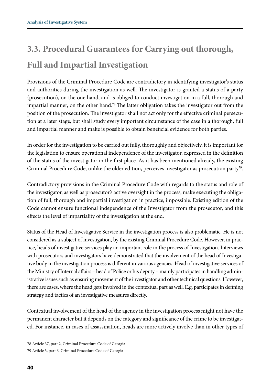## **3.3. Procedural Guarantees for Carrying out thorough, Full and Impartial Investigation**

Provisions of the Criminal Procedure Code are contradictory in identifying investigator's status and authorities during the investigation as well. The investigator is granted a status of a party (prosecution), on the one hand, and is obliged to conduct investigation in a full, thorough and impartial manner, on the other hand.<sup>78</sup> The latter obligation takes the investigator out from the position of the prosecution. The investigator shall not act only for the effective criminal persecution at a later stage, but shall study every important circumstance of the case in a thorough, full and impartial manner and make is possible to obtain beneficial evidence for both parties.

In order for the investigation to be carried out fully, thoroughly and objectively, it is important for the legislation to ensure operational independence of the investigator, expressed in the definition of the status of the investigator in the first place. As it has been mentioned already, the existing Criminal Procedure Code, unlike the older edition, perceives investigator as prosecution party<sup>79</sup>.

Contradictory provisions in the Criminal Procedure Code with regards to the status and role of the investigator, as well as prosecutor's active oversight in the process, make executing the obligation of full, thorough and impartial investigation in practice, impossible. Existing edition of the Code cannot ensure functional independence of the Investigator from the prosecutor, and this effects the level of impartiality of the investigation at the end.

Status of the Head of Investigative Service in the investigation process is also problematic. He is not considered as a subject of investigation, by the existing Criminal Procedure Code. However, in practice, heads of investigative services play an important role in the process of Investigation. Interviews with prosecutors and investigators have demonstrated that the involvement of the head of Investigative body in the investigation process is different in various agencies. Head of investigative services of the Ministry of Internal affairs – head of Police or his deputy – mainly participates in handling administrative issues such as ensuring movement of the investigator and other technical questions. However, there are cases, where the head gets involved in the contextual part as well. E.g. participates in defining strategy and tactics of an investigative measures directly.

Contextual involvement of the head of the agency in the investigation process might not have the permanent character but it depends on the category and significance of the crime to be investigated. For instance, in cases of assassination, heads are more actively involve than in other types of

<sup>78</sup> Article 37, part 2, Criminal Procedure Code of Georgia

<sup>79</sup> Article 3, part 6, Criminal Procedure Code of Georgia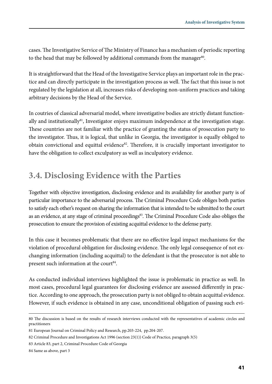cases. The Investigative Service of The Ministry of Finance has a mechanism of periodic reporting to the head that may be followed by additional commands from the manager<sup>80</sup>.

It is straightforward that the Head of the Investigative Service plays an important role in the practice and can directly participate in the investigation process as well. The fact that this issue is not regulated by the legislation at all, increases risks of developing non-uniform practices and taking arbitrary decisions by the Head of the Service.

In coutries of classical adversarial model, where investigative bodies are strictly distant functionally and institutionally<sup>81</sup>, Investigator enjoys maximum independence at the investigation stage. These countries are not familiar with the practice of granting the status of prosecution party to the investigator. Thus, it is logical, that unlike in Georgia, the investigator is equally obliged to obtain convictional and equittal evidence $82$ . Therefore, it is crucially important investigator to have the obligation to collect exculpatory as well as inculpatory evidence.

#### **3.4. Disclosing Evidence with the Parties**

Together with objective investigation, disclosing evidence and its availability for another party is of particular importance to the adversarial process. The Criminal Procedure Code obliges both parties to satisfy each other's request on sharing the information that is intended to be submitted to the court as an evidence, at any stage of criminal proceedings<sup>83</sup>. The Criminal Procedure Code also obliges the prosecution to ensure the provision of existing acquittal evidence to the defense party.

In this case it becomes problematic that there are no effective legal impact mechanisms for the violation of procedural obligation for disclosing evidence. The only legal consequence of not exchanging information (including acquittal) to the defendant is that the prosecutor is not able to present such information at the court<sup>84</sup>.

As conducted individual interviews highlighted the issue is problematic in practice as well. In most cases, procedural legal guarantees for disclosing evidence are assessed differently in practice. According to one approach, the prosecution party is not obliged to obtain acquittal evidence. However, if such evidence is obtained in any case, unconditional obligation of passing such evi-

<sup>80</sup> The discussion is based on the results of research interviews conducted with the representatives of academic circles and practitioners

<sup>81</sup> European Journal on Criminal Policy and Research, pp.203-224, pp.204-207.

<sup>82</sup> Criminal Procedure and Investigations Act 1996 (section 23(1)) Code of Practice, paragraph 3(5)

<sup>83</sup> Article 83, part 2, Criminal Procedure Code of Georgia

<sup>84</sup> Same as above, part 3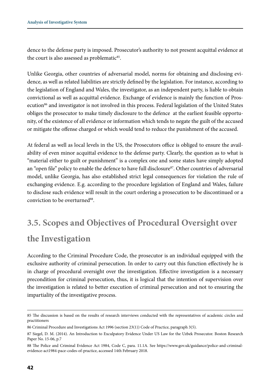dence to the defense party is imposed. Prosecutor's authority to not present acquittal evidence at the court is also assessed as problematic<sup>85</sup>.

Unlike Georgia, other countries of adversarial model, norms for obtaining and disclosing evidence, as well as related liabilities are strictly defined by the legislation. For instance, according to the legislation of England and Wales, the investigator, as an independent party, is liable to obtain convictional as well as acquittal evidence. Exchange of evidence is mainly the function of Prosecution<sup>86</sup> and investigator is not involved in this process. Federal legislation of the United States obliges the prosecutor to make timely disclosure to the defence at the earliest feasible opportunity, of the existence of all evidence or information which tends to negate the guilt of the accused or mitigate the offense charged or which would tend to reduce the punishment of the accused.

At federal as well as local levels in the US, the Prosecutors office is obliged to ensure the availability of even minor acquittal evidence to the defense party. Clearly, the question as to what is "material either to guilt or punishment" is a complex one and some states have simply adopted an "open file" policy to enable the defence to have full disclosure<sup>87</sup>. Other countries of adversarial model, unlike Georgia, has also established strict legal consequences for violation the rule of exchanging evidence. E.g. according to the procedure legislation of England and Wales, failure to disclose such evidence will result in the court ordering a prosecution to be discontinued or a conviction to be overturned<sup>88</sup>.

## **3.5. Scopes and Objectives of Procedural Oversight over the Investigation**

According to the Criminal Procedure Code, the prosecutor is an individual equipped with the exclusive authority of criminal persecution. In order to carry out this function effectively he is in charge of procedural oversight over the investigation. Effective investigation is a necessary precondition for criminal persecution, thus, it is logical that the intention of supervision over the investigation is related to better execution of criminal persecution and not to ensuring the impartiality of the investigative process.

<sup>85</sup> The discussion is based on the results of research interviews conducted with the representatives of academic circles and practitioners

<sup>86</sup> Criminal Procedure and Investigations Act 1996 (section 23(1)) Code of Practice, paragraph 3(5).

<sup>87</sup> Siegel, D. M. (2014). An Introduction to Exculpatory Evidence Under US Law for the Uzbek Prosecutor. Boston Research Paper No. 15-06, p.7

<sup>88</sup> The Police and Criminal Evidence Act 1984, Code C, para. 11.1A. See https://www.gov.uk/guidance/police-and-criminalevidence-act1984-pace-codes-of-practice, accessed 14th February 2018.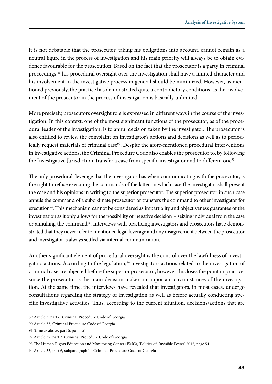It is not debatable that the prosecutor, taking his obligations into account, cannot remain as a neutral figure in the process of investigation and his main priority will always be to obtain evidence favourable for the prosecution. Based on the fact that the prosecutor is a party in criminal proceedings,<sup>89</sup> his procedural oversight over the investigation shall have a limited character and his involvement in the investigative process in general should be minimized. However, as mentioned previously, the practice has demonstrated quite a contradictory conditions, as the involvement of the prosecutor in the process of investigation is basically unlimited.

More precisely, prosecutors oversight role is expressed in different ways in the course of the investigation. In this context, one of the most significant functions of the prosecutor, as of the procedural leader of the investigation, is to annul decision taken by the investigator. The prosecutor is also entitled to review the complaint on investigator's actions and decisions as well as to periodically request materials of criminal case<sup>90</sup>. Despite the afore-mentioned procedural interventions in investigative actions, the Criminal Procedure Code also enables the prosecutor to, by following the Investigative Jurisdiction, transfer a case from specific investigator and to different one<sup>91</sup>.

The only prosedural leverage that the investigator has when communicating with the prosecutor, is the right to refuse executing the commands of the latter, in which case the investigator shall present the case and his opinions in writing to the superior prosecutor. The superior prosecutor in such case annuls the command of a subordinate prosecutor or transfers the command to other investigator for execution<sup>92</sup>. This mechanism cannot be considered as impartiality and objectiveness guarantee of the investigation as it only allows for the possibility of 'negative decision' – seizing individual from the case or annulling the command<sup>93</sup>. Interviews with practicing investigators and prosecutors have demonstrated that they never refer to mentioned legal leverage and any disagreement between the prosecutor and investigator is always settled via internal communication.

Another significant element of procedural oversight is the control over the lawfulness of investigators actions. According to the legislation,<sup>94</sup> investigators actions related to the investigation of criminal case are objected before the superior prosecutor, however this loses the point in practice, since the prosecutor is the main decision maker on important circumstances of the investigation. At the same time, the interviews have revealed that investigators, in most cases, undergo consultations regarding the strategy of investigation as well as before actually conducting specific investigative activities. Thus, according to the current situation, decisions/actions that are

<sup>89</sup> Article 3, part 6, Criminal Procedure Code of Georgia

<sup>90</sup> Article 33, Criminal Procedure Code of Georgia

<sup>91</sup> Same as above, part 6, point 'a'

<sup>92</sup> Article 37, part 3, Criminal Procedure Code of Georgia

<sup>93</sup> The Human Rights Education and Monitoring Center (EMC), 'Politics of Invisible Power' 2015, page 54

<sup>94</sup> Article 33, part 6, subparagraph 'h', Criminal Procedure Code of Georgia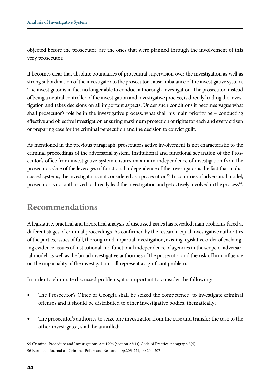objected before the prosecutor, are the ones that were planned through the involvement of this very prosecutor.

It becomes clear that absolute boundaries of procedural supervision over the investigation as well as strong subordination of the investigator to the prosecutor, cause imbalance of the investigative system. The investigator is in fact no longer able to conduct a thorough investigation. The prosecutor, instead of being a neutral controller of the investigation and investigative process, is directly leading the investigation and takes decisions on all important aspects. Under such conditions it becomes vague what shall prosecutor's role be in the investigative process, what shall his main priority be  $-$  conducting effective and objective investigation ensuring maximum protection of rights for each and every citizen or preparing case for the criminal persecution and the decision to convict guilt.

As mentioned in the previous paragraph, prosecutors active involvement is not characteristic to the criminal proceedings of the adversarial system. Institutional and functional separation of the Prosecutor's office from investigative system ensures maximum independence of investigation from the prosecutor. One of the leverages of functional independence of the investigator is the fact that in discussed systems, the investigator is not considered as a prosecution<sup>95</sup>. In countries of adversarial model, prosecutor is not authorized to directly lead the investigation and get actively involved in the process<sup>96</sup>.

#### **Recommendations**

A legislative, practical and theoretical analysis of discussed issues has revealed main problems faced at different stages of criminal proceedings. As confirmed by the research, equal investigative authorities of the parties, issues of full, thorough and impartial investigation, existing legislative order of exchanging evidence, issues of institutional and functional independence of agencies in the scope of adversarial model, as well as the broad investigative authorities of the prosecutor and the risk of him influence on the impartiality of the investigation - all represent a significant problem.

In order to eliminate discussed problems, it is important to consider the following:

- The Prosecutor's Office of Georgia shall be seized the competence to investigate criminal offenses and it should be distributed to other investigative bodies, thematically;
- The prosecutor's authority to seize one investigator from the case and transfer the case to the other investigator, shall be annulled;

<sup>95</sup> Criminal Procedure and Investigations Act 1996 (section 23(1)) Code of Practice, paragraph 3(5). 96 European Journal on Criminal Policy and Research, pp.203-224, pp.204-207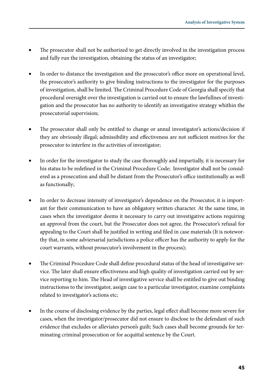- The prosecutor shall not be authorized to get directly involved in the investigation process and fully run the investigation, obtaining the status of an investigator;
- In order to distance the investigation and the prosecutor's office more on operational level, the prosecutor's authority to give binding instructions to the investigator for the purposes of investigation, shall be limited. The Criminal Procedure Code of Georgia shall specify that procedural oversight over the investigation is carried out to ensure the lawfullnes of investigation and the prosecutor has no authority to identify an investigative strategy whithin the prosecutorial supervision;
- The prosecutor shall only be entitled to change or annul investigator's actions/decision if they are obviously illegal; admissibility and effectiveness are not sufficient motives for the prosecutor to interfere in the activities of investigator;
- In order for the investigator to study the case thoroughly and impartially, it is necessary for his status to be redefined in the Criminal Procedure Code; Investigator shall not be considered as a prosecution and shall be distant from the Prosecutor's office institutionally as well as functionally;
- In order to decrease intensity of investigator's dependence on the Prosecutor, it is important for their communication to have an obligatory written character. At the same time, in cases when the investigator deems it necessary to carry out investigative actions requiring an approval from the court, but the Prosecutor does not agree, the Prosecutor's refusal for appealing to the Court shall be justified in writing and filed in case materials (It is noteworthy that, in some adviersarial jurisdictions a police officer has the authority to apply for the court warrants, without prosecutor's involvement in the process);
- The Criminal Procedure Code shall define procedural status of the head of investigative service. The later shall ensure effectiveness and high quality of investigation carried out by service reporting to him. The Head of investigative service shall be entitled to give out binding instructionss to the investigator, assign case to a particular investigator, examine complaints related to investigator's actions etc;
- In the course of disclosing evidence by the parties, legal effect shall become more severe for cases, when the investigator/prosecutor did not ensure to disclose to the defendant of such evidence that excludes or alleviates person's guilt; Such cases shall become grounds for terminating criminal prosecution or for acquittal sentence by the Court.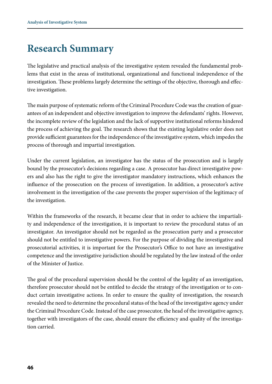### **Research Summary**

The legislative and practical analysis of the investigative system revealed the fundamental problems that exist in the areas of institutional, organizational and functional independence of the investigation. These problems largely determine the settings of the objective, thorough and effective investigation.

The main purpose of systematic reform of the Criminal Procedure Code was the creation of guarantees of an independent and objective investigation to improve the defendants' rights. However, the incomplete review of the legislation and the lack of supportive institutional reforms hindered the process of achieving the goal. The research shows that the existing legislative order does not provide sufficient guarantees for the independence of the investigative system, which impedes the process of thorough and impartial investigation.

Under the current legislation, an investigator has the status of the prosecution and is largely bound by the prosecutor's decisions regarding a case. A prosecutor has direct investigative powers and also has the right to give the investigator mandatory instructions, which enhances the influence of the prosecution on the process of investigation. In addition, a prosecutor's active involvement in the investigation of the case prevents the proper supervision of the legitimacy of the investigation.

Within the frameworks of the research, it became clear that in order to achieve the impartiality and independence of the investigation, it is important to review the procedural status of an investigator. An investigator should not be regarded as the prosecution party and a prosecutor should not be entitled to investigative powers. For the purpose of dividing the investigative and prosecutorial activities, it is important for the Prosecutor's Office to not have an investigative competence and the investigative jurisdiction should be regulated by the law instead of the order of the Minister of Justice.

The goal of the procedural supervision should be the control of the legality of an investigation, therefore prosecutor should not be entitled to decide the strategy of the investigation or to conduct certain investigative actions. In order to ensure the quality of investigation, the research revealed the need to determine the procedural status of the head of the investigative agency under the Criminal Procedure Code. Instead of the case prosecutor, the head of the investigative agency, together with investigators of the case, should ensure the efficiency and quality of the investigation carried.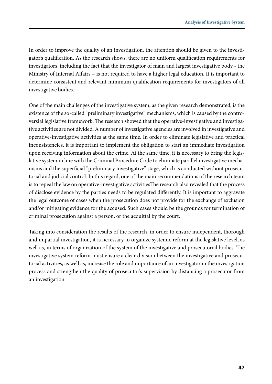In order to improve the quality of an investigation, the attention should be given to the investigator's qualification. As the research shows, there are no uniform qualification requirements for investigators, including the fact that the investigator of main and largest investigative body - the Ministry of Internal Affairs – is not required to have a higher legal education. It is important to determine consistent and relevant minimum qualification requirements for investigators of all investigative bodies.

One of the main challenges of the investigative system, as the given research demonstrated, is the existence of the so-called "preliminary investigative" mechanisms, which is caused by the controversial legislative framework. The research showed that the operative-investigative and investigative activities are not divided. A number of investigative agencies are involved in investigative and operative-investigative activities at the same time. In order to eliminate legislative and practical inconsistencies, it is important to implement the obligation to start an immediate investigation upon receiving information about the crime. At the same time, it is necessary to bring the legislative system in line with the Criminal Procedure Code to eliminate parallel investigative mechanisms and the superficial "preliminary investigative" stage, which is conducted without prosecutorial and judicial control. In this regard, one of the main recommendations of the research team is to repeal the law on operative-investigative activitiesThe research also revealed that the process of disclose evidence by the parties needs to be regulated differently. It is important to aggravate the legal outcome of cases when the prosecution does not provide for the exchange of exclusion and/or mitigating evidence for the accused. Such cases should be the grounds for termination of criminal prosecution against a person, or the acquittal by the court.

Taking into consideration the results of the research, in order to ensure independent, thorough and impartial investigation, it is necessary to organize systemic reform at the legislative level, as well as, in terms of organization of the system of the investigative and prosecutorial bodies. The investigative system reform must ensure a clear division between the investigative and prosecutorial activities, as well as, increase the role and importance of an investigator in the investigation process and strengthen the quality of prosecutor's supervision by distancing a prosecutor from an investigation.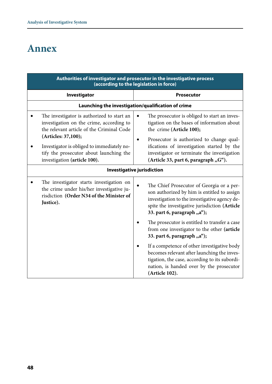## **Annex**

| Authorities of investigator and prosecutor in the investigative process<br>(according to the legislation in force)                                                                                                                                                                  |                                                                                                                                                                                                                                                                                                              |  |  |  |
|-------------------------------------------------------------------------------------------------------------------------------------------------------------------------------------------------------------------------------------------------------------------------------------|--------------------------------------------------------------------------------------------------------------------------------------------------------------------------------------------------------------------------------------------------------------------------------------------------------------|--|--|--|
| Investigator                                                                                                                                                                                                                                                                        | <b>Prosecutor</b>                                                                                                                                                                                                                                                                                            |  |  |  |
| Launching the investigation/qualification of crime                                                                                                                                                                                                                                  |                                                                                                                                                                                                                                                                                                              |  |  |  |
| The investigator is authorized to start an<br>investigation on the crime, according to<br>the relevant article of the Criminal Code<br>(Articles: 37,100);<br>Investigator is obliged to immediately no-<br>tify the prosecutor about launching the<br>investigation (article 100). | The prosecutor is obliged to start an inves-<br>٠<br>tigation on the bases of information about<br>the crime (Article 100);<br>Prosecutor is authorized to change qual-<br>ifications of investigation started by the<br>investigator or terminate the investigation<br>(Article 33, part 6, paragraph "G"). |  |  |  |
| Investigative jurisdiction                                                                                                                                                                                                                                                          |                                                                                                                                                                                                                                                                                                              |  |  |  |
| The investigator starts investigation on<br>the crime under his/her investigative ju-<br>risdiction (Order N34 of the Minister of<br>Justice).                                                                                                                                      | The Chief Prosecutor of Georgia or a per-<br>son authorized by him is entitled to assign<br>investigation to the investigative agency de-<br>spite the investigative jurisdiction (Article<br>33. part 6, paragraph "a");                                                                                    |  |  |  |
|                                                                                                                                                                                                                                                                                     | The prosecutor is entitled to transfer a case<br>from one investigator to the other (article<br>33. part 6, paragraph "a");                                                                                                                                                                                  |  |  |  |
|                                                                                                                                                                                                                                                                                     | If a competence of other investigative body<br>becomes relevant after launching the inves-<br>tigation, the case, according to its subordi-<br>nation, is handed over by the prosecutor<br>(Article 102).                                                                                                    |  |  |  |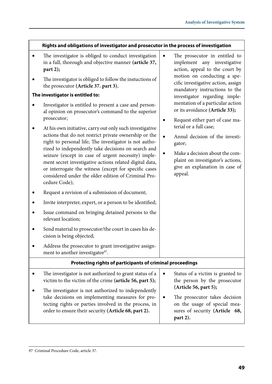|   | Rights and obligations of investigator and prosecutor in the process of investigation                                                                                                                                                                                                                                                                                                                                                                                                                                                                                                                                                                                                                                                                                                                                            |                                                                                                                                                                                                                            |  |
|---|----------------------------------------------------------------------------------------------------------------------------------------------------------------------------------------------------------------------------------------------------------------------------------------------------------------------------------------------------------------------------------------------------------------------------------------------------------------------------------------------------------------------------------------------------------------------------------------------------------------------------------------------------------------------------------------------------------------------------------------------------------------------------------------------------------------------------------|----------------------------------------------------------------------------------------------------------------------------------------------------------------------------------------------------------------------------|--|
|   | The investigator is obliged to conduct investigation<br>in a full, thorough and objective manner (article 37,<br>part 2);<br>The investigator is obliged to follow the instuctions of<br>the prosecutor (Article 37. part 3).                                                                                                                                                                                                                                                                                                                                                                                                                                                                                                                                                                                                    | The prosecutor in entitled to<br>$\bullet$<br>implement any investigative<br>action, appeal to the court by<br>motion on conducting a spe-<br>cific investigative action, assign                                           |  |
|   | The investigator is entitled to:                                                                                                                                                                                                                                                                                                                                                                                                                                                                                                                                                                                                                                                                                                                                                                                                 | mandatory instructions to the<br>investigator regarding imple-                                                                                                                                                             |  |
|   | Investigator is entitled to present a case and person-<br>al opinion on prosecutor's command to the superior<br>prosecutor;                                                                                                                                                                                                                                                                                                                                                                                                                                                                                                                                                                                                                                                                                                      | mentation of a particular action<br>or its avoidance (Article 33);<br>Request either part of case ma-<br>٠                                                                                                                 |  |
| ٠ | At his own initiative, carry out only such investigative<br>actions that do not restrict private ownership or the<br>right to personal life; The investigator is not autho-<br>rized to independently take decisions on search and<br>seizure (except in case of urgent necessity) imple-<br>ment secret investigative actions related digital data,<br>or interrogate the witness (except for specific cases<br>considered under the older edition of Criminal Pro-<br>cedure Code);<br>Request a revision of a submission of document;<br>Invite interpreter, expert, or a person to be identified;<br>Issue command on bringing detained persons to the<br>relevant location;<br>Send material to prosecutor/the court in cases his de-<br>cision is being objected;<br>Address the prosecutor to grant investigative assign- | terial or a full case;<br>Annul decision of the investi-<br>$\bullet$<br>gator;<br>Make a decision about the com-<br>plaint on investigator's actions,<br>give an explanation in case of<br>appeal.                        |  |
|   | ment to another investigator <sup>97</sup> .                                                                                                                                                                                                                                                                                                                                                                                                                                                                                                                                                                                                                                                                                                                                                                                     |                                                                                                                                                                                                                            |  |
|   | Protecting rights of participants of criminal proceedings                                                                                                                                                                                                                                                                                                                                                                                                                                                                                                                                                                                                                                                                                                                                                                        |                                                                                                                                                                                                                            |  |
| ٠ | The investigator is not authorized to grant status of a<br>victim to the victim of the crime (article 56, part 5);<br>The investigator is not authorized to independently<br>take decisions on implementing measures for pro-<br>tecting rights or parties involved in the process, in<br>order to ensure their security (Article 68, part 2).                                                                                                                                                                                                                                                                                                                                                                                                                                                                                   | Status of a victim is granted to<br>$\bullet$<br>the person by the prosecutor<br>(Article 56, part 5);<br>The prosecutor takes decision<br>٠<br>on the usage of special mea-<br>sures of security (Article 68,<br>part 2). |  |

 $\Gamma$ 

<sup>97</sup> Criminal Procedure Code, article 37.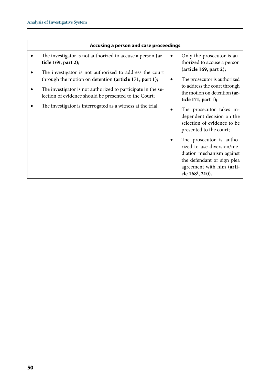| Accusing a person and case proceedings                                                                                                                                                                                                                                                                       |                                                                                                                                                                                                                                                                                                                                                                                                                                                   |  |  |
|--------------------------------------------------------------------------------------------------------------------------------------------------------------------------------------------------------------------------------------------------------------------------------------------------------------|---------------------------------------------------------------------------------------------------------------------------------------------------------------------------------------------------------------------------------------------------------------------------------------------------------------------------------------------------------------------------------------------------------------------------------------------------|--|--|
| The investigator is not authorized to accuse a person (ar-<br>ticle 169, part 2);                                                                                                                                                                                                                            | Only the prosecutor is au-<br>٠<br>thorized to accuse a person                                                                                                                                                                                                                                                                                                                                                                                    |  |  |
| The investigator is not authorized to address the court<br>through the motion on detention (article $171$ , part 1);<br>The investigator is not authorized to participate in the se-<br>lection of evidence should be presented to the Court;<br>The investigator is interrogated as a witness at the trial. | (article 169, part 2);<br>The prosecutor is authorized<br>٠<br>to address the court through<br>the motion on detention (ar-<br>ticle $171$ , part 1);<br>The prosecutor takes in-<br>dependent decision on the<br>selection of evidence to be<br>presented to the court;<br>The prosecutor is autho-<br>rized to use diversion/me-<br>diation mechanism against<br>the defendant or sign plea<br>agreement with him (arti-<br>cle $168^1$ , 210). |  |  |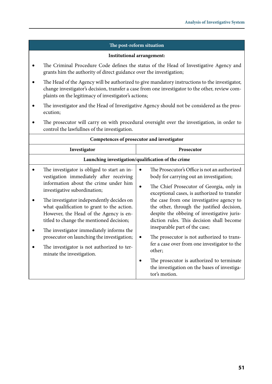#### **The post-reform situation**

#### **Institutional arrangement:**

- The Criminal Procedure Code defines the status of the Head of Investigative Agency and grants him the authority of direct guidance over the investigation;
- The Head of the Agency will be authorized to give mandatory instructions to the investigator, change investigator's decision, transfer a case from one investigator to the other, review complaints on the legitimacy of investigator's actions;
- The investigator and the Head of Investigative Agency should not be considered as the prosecution;
- The prosecutor will carry on with procedural oversight over the investigation, in order to control the lawfullnes of the investigation.

| Competences of prosecutor and investigator                                                                                                                                                                                                                                                                                                                                                                                                                                                                            |                                                                                                                                                                                                                                                                                                                                                                                                                                                                                                                                                                                                                                   |  |  |  |
|-----------------------------------------------------------------------------------------------------------------------------------------------------------------------------------------------------------------------------------------------------------------------------------------------------------------------------------------------------------------------------------------------------------------------------------------------------------------------------------------------------------------------|-----------------------------------------------------------------------------------------------------------------------------------------------------------------------------------------------------------------------------------------------------------------------------------------------------------------------------------------------------------------------------------------------------------------------------------------------------------------------------------------------------------------------------------------------------------------------------------------------------------------------------------|--|--|--|
| Investigator                                                                                                                                                                                                                                                                                                                                                                                                                                                                                                          | Prosecutor                                                                                                                                                                                                                                                                                                                                                                                                                                                                                                                                                                                                                        |  |  |  |
| Launching investigation/qualification of the crime                                                                                                                                                                                                                                                                                                                                                                                                                                                                    |                                                                                                                                                                                                                                                                                                                                                                                                                                                                                                                                                                                                                                   |  |  |  |
| The investigator is obliged to start an in-<br>vestigation immediately after receiving<br>information about the crime under him<br>investigative subordination;<br>The investigator independently decides on<br>what qualification to grant to the action.<br>However, the Head of the Agency is en-<br>titled to change the mentioned decision;<br>The investigator immediately informs the<br>prosecutor on launching the investigation;<br>The investigator is not authorized to ter-<br>minate the investigation. | The Prosecutor's Office is not an authorized<br>body for carrying out an investigation;<br>The Chief Prosecutor of Georgia, only in<br>exceptional cases, is authorized to transfer<br>the case from one investigative agency to<br>the other, through the justified decision,<br>despite the obbeing of investigative juris-<br>diction rules. This decision shall become<br>inseparable part of the case;<br>The prosecutor is not authorized to trans-<br>fer a case over from one investigator to the<br>other;<br>The prosecutor is authorized to terminate<br>the investigation on the bases of investiga-<br>tor's motion. |  |  |  |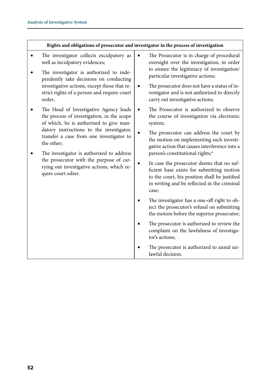#### **Rights and obligations of prosecutor and investigator in the process of investigation**

- The investigator collects exculpatory as well as inculpatory evidences;
- The investigator is authorized to independently take decisions on conducting investigative actions, except those that restrict rights of a person and require court order;
- The Head of Investigative Agency leads the process of investigation, in the scope of which, he is authorized to give mandatory instructions to the investigator, transfer a case from one investigator to the other;
- The investigator is authorized to address the prosecutor with the purpose of carrying out investigative actions, which require court odrer.
- The Prosecutor is in charge of procedural oversight over the investigation, in order to ensure the legitimacy of investigation/ particular investigative actions;
- The prosecutor does not have a status of investigator and is not authorized to directly carry out investigative actions;
- The Prosecutor is authorized to observe the course of investigation via electronic system;
- The prosecutor can address the court by the motion on implementing such investigative action that causes interference into a person's constitutional rights;\*
- In case the prosecutor deems that no sufficient base exists for submitting motion to the court, his position shall be justified in writing and be reflected in the criminal case;
- The investigator has a one-off right to object the prosecutor's refusal on submitting the motion before the superior prosecutor;
- The prosecutor is authorized to review the complaint on the lawfulness of investigator's actions;
- The prosecutor is authorized to annul unlawful decision.